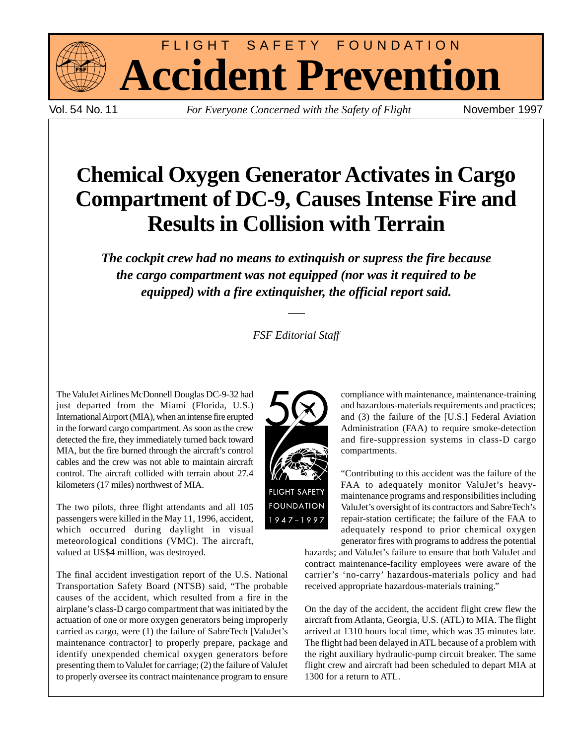

Vol. 54 No. 11 *For Everyone Concerned with the Safety of Flight* November 1997

FLIGHT SAFETY FOUNDATION

**Accident Prevention**

# **Chemical Oxygen Generator Activates in Cargo Compartment of DC-9, Causes Intense Fire and Results in Collision with Terrain**

*The cockpit crew had no means to extinquish or supress the fire because the cargo compartment was not equipped (nor was it required to be equipped) with a fire extinquisher, the official report said.*

#### *FSF Editorial Staff*

The ValuJet Airlines McDonnell Douglas DC-9-32 had just departed from the Miami (Florida, U.S.) International Airport (MIA), when an intense fire erupted in the forward cargo compartment. As soon as the crew detected the fire, they immediately turned back toward MIA, but the fire burned through the aircraft's control cables and the crew was not able to maintain aircraft control. The aircraft collided with terrain about 27.4 kilometers (17 miles) northwest of MIA.

The two pilots, three flight attendants and all 105 passengers were killed in the May 11, 1996, accident, which occurred during daylight in visual meteorological conditions (VMC). The aircraft, valued at US\$4 million, was destroyed.

The final accident investigation report of the U.S. National Transportation Safety Board (NTSB) said, "The probable causes of the accident, which resulted from a fire in the airplane's class-D cargo compartment that was initiated by the actuation of one or more oxygen generators being improperly carried as cargo, were (1) the failure of SabreTech [ValuJet's maintenance contractor] to properly prepare, package and identify unexpended chemical oxygen generators before presenting them to ValuJet for carriage; (2) the failure of ValuJet to properly oversee its contract maintenance program to ensure



compliance with maintenance, maintenance-training and hazardous-materials requirements and practices; and (3) the failure of the [U.S.] Federal Aviation Administration (FAA) to require smoke-detection and fire-suppression systems in class-D cargo compartments.

"Contributing to this accident was the failure of the FAA to adequately monitor ValuJet's heavymaintenance programs and responsibilities including ValuJet's oversight of its contractors and SabreTech's repair-station certificate; the failure of the FAA to adequately respond to prior chemical oxygen generator fires with programs to address the potential

hazards; and ValuJet's failure to ensure that both ValuJet and contract maintenance-facility employees were aware of the carrier's 'no-carry' hazardous-materials policy and had received appropriate hazardous-materials training."

On the day of the accident, the accident flight crew flew the aircraft from Atlanta, Georgia, U.S. (ATL) to MIA. The flight arrived at 1310 hours local time, which was 35 minutes late. The flight had been delayed in ATL because of a problem with the right auxiliary hydraulic-pump circuit breaker. The same flight crew and aircraft had been scheduled to depart MIA at 1300 for a return to ATL.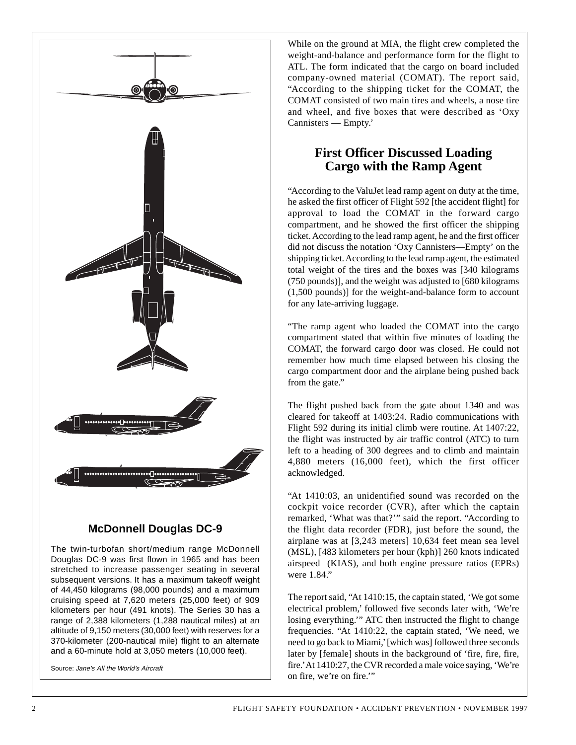

The twin-turbofan short/medium range McDonnell Douglas DC-9 was first flown in 1965 and has been stretched to increase passenger seating in several subsequent versions. It has a maximum takeoff weight of 44,450 kilograms (98,000 pounds) and a maximum cruising speed at 7,620 meters (25,000 feet) of 909 kilometers per hour (491 knots). The Series 30 has a range of 2,388 kilometers (1,288 nautical miles) at an altitude of 9,150 meters (30,000 feet) with reserves for a 370-kilometer (200-nautical mile) flight to an alternate and a 60-minute hold at 3,050 meters (10,000 feet).

Source: Jane's All the World's Aircraft

While on the ground at MIA, the flight crew completed the weight-and-balance and performance form for the flight to ATL. The form indicated that the cargo on board included company-owned material (COMAT). The report said, "According to the shipping ticket for the COMAT, the COMAT consisted of two main tires and wheels, a nose tire and wheel, and five boxes that were described as 'Oxy Cannisters — Empty.'

#### **First Officer Discussed Loading Cargo with the Ramp Agent**

"According to the ValuJet lead ramp agent on duty at the time, he asked the first officer of Flight 592 [the accident flight] for approval to load the COMAT in the forward cargo compartment, and he showed the first officer the shipping ticket. According to the lead ramp agent, he and the first officer did not discuss the notation 'Oxy Cannisters—Empty' on the shipping ticket. According to the lead ramp agent, the estimated total weight of the tires and the boxes was [340 kilograms (750 pounds)], and the weight was adjusted to [680 kilograms (1,500 pounds)] for the weight-and-balance form to account for any late-arriving luggage.

"The ramp agent who loaded the COMAT into the cargo compartment stated that within five minutes of loading the COMAT, the forward cargo door was closed. He could not remember how much time elapsed between his closing the cargo compartment door and the airplane being pushed back from the gate."

The flight pushed back from the gate about 1340 and was cleared for takeoff at 1403:24. Radio communications with Flight 592 during its initial climb were routine. At 1407:22, the flight was instructed by air traffic control (ATC) to turn left to a heading of 300 degrees and to climb and maintain 4,880 meters (16,000 feet), which the first officer acknowledged.

"At 1410:03, an unidentified sound was recorded on the cockpit voice recorder (CVR), after which the captain remarked, 'What was that?'" said the report. "According to the flight data recorder (FDR), just before the sound, the airplane was at [3,243 meters] 10,634 feet mean sea level (MSL), [483 kilometers per hour (kph)] 260 knots indicated airspeed (KIAS), and both engine pressure ratios (EPRs) were 1.84."

The report said, "At 1410:15, the captain stated, 'We got some electrical problem,' followed five seconds later with, 'We're losing everything.'" ATC then instructed the flight to change frequencies. "At 1410:22, the captain stated, 'We need, we need to go back to Miami,' [which was] followed three seconds later by [female] shouts in the background of 'fire, fire, fire, fire.' At 1410:27, the CVR recorded a male voice saying, 'We're on fire, we're on fire.'"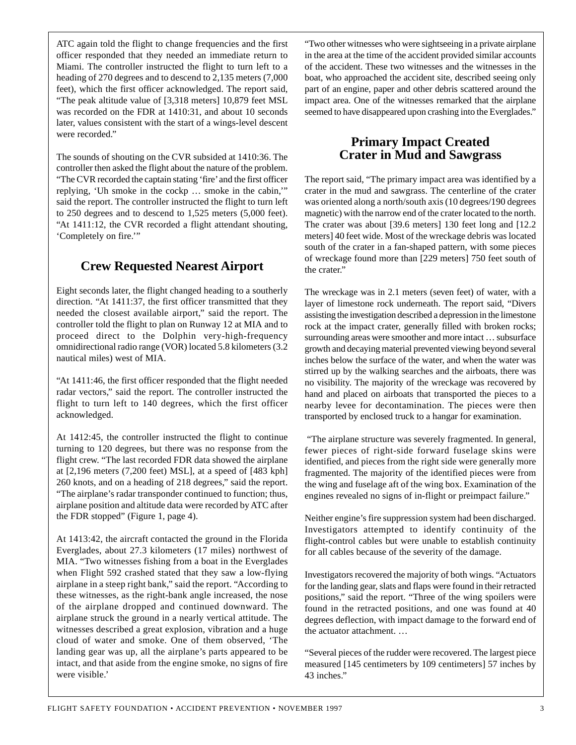ATC again told the flight to change frequencies and the first officer responded that they needed an immediate return to Miami. The controller instructed the flight to turn left to a heading of 270 degrees and to descend to 2,135 meters (7,000 feet), which the first officer acknowledged. The report said, "The peak altitude value of [3,318 meters] 10,879 feet MSL was recorded on the FDR at 1410:31, and about 10 seconds later, values consistent with the start of a wings-level descent were recorded."

The sounds of shouting on the CVR subsided at 1410:36. The controller then asked the flight about the nature of the problem. "The CVR recorded the captain stating 'fire' and the first officer replying, 'Uh smoke in the cockp … smoke in the cabin,'" said the report. The controller instructed the flight to turn left to 250 degrees and to descend to 1,525 meters (5,000 feet). "At 1411:12, the CVR recorded a flight attendant shouting, 'Completely on fire.'"

## **Crew Requested Nearest Airport**

Eight seconds later, the flight changed heading to a southerly direction. "At 1411:37, the first officer transmitted that they needed the closest available airport," said the report. The controller told the flight to plan on Runway 12 at MIA and to proceed direct to the Dolphin very-high-frequency omnidirectional radio range (VOR) located 5.8 kilometers (3.2 nautical miles) west of MIA.

"At 1411:46, the first officer responded that the flight needed radar vectors," said the report. The controller instructed the flight to turn left to 140 degrees, which the first officer acknowledged.

At 1412:45, the controller instructed the flight to continue turning to 120 degrees, but there was no response from the flight crew. "The last recorded FDR data showed the airplane at [2,196 meters (7,200 feet) MSL], at a speed of [483 kph] 260 knots, and on a heading of 218 degrees," said the report. "The airplane's radar transponder continued to function; thus, airplane position and altitude data were recorded by ATC after the FDR stopped" (Figure 1, page 4).

At 1413:42, the aircraft contacted the ground in the Florida Everglades, about 27.3 kilometers (17 miles) northwest of MIA. "Two witnesses fishing from a boat in the Everglades when Flight 592 crashed stated that they saw a low-flying airplane in a steep right bank," said the report. "According to these witnesses, as the right-bank angle increased, the nose of the airplane dropped and continued downward. The airplane struck the ground in a nearly vertical attitude. The witnesses described a great explosion, vibration and a huge cloud of water and smoke. One of them observed, 'The landing gear was up, all the airplane's parts appeared to be intact, and that aside from the engine smoke, no signs of fire were visible.'

"Two other witnesses who were sightseeing in a private airplane in the area at the time of the accident provided similar accounts of the accident. These two witnesses and the witnesses in the boat, who approached the accident site, described seeing only part of an engine, paper and other debris scattered around the impact area. One of the witnesses remarked that the airplane seemed to have disappeared upon crashing into the Everglades."

#### **Primary Impact Created Crater in Mud and Sawgrass**

The report said, "The primary impact area was identified by a crater in the mud and sawgrass. The centerline of the crater was oriented along a north/south axis (10 degrees/190 degrees magnetic) with the narrow end of the crater located to the north. The crater was about [39.6 meters] 130 feet long and [12.2 meters] 40 feet wide. Most of the wreckage debris was located south of the crater in a fan-shaped pattern, with some pieces of wreckage found more than [229 meters] 750 feet south of the crater."

The wreckage was in 2.1 meters (seven feet) of water, with a layer of limestone rock underneath. The report said, "Divers assisting the investigation described a depression in the limestone rock at the impact crater, generally filled with broken rocks; surrounding areas were smoother and more intact … subsurface growth and decaying material prevented viewing beyond several inches below the surface of the water, and when the water was stirred up by the walking searches and the airboats, there was no visibility. The majority of the wreckage was recovered by hand and placed on airboats that transported the pieces to a nearby levee for decontamination. The pieces were then transported by enclosed truck to a hangar for examination.

"The airplane structure was severely fragmented. In general, fewer pieces of right-side forward fuselage skins were identified, and pieces from the right side were generally more fragmented. The majority of the identified pieces were from the wing and fuselage aft of the wing box. Examination of the engines revealed no signs of in-flight or preimpact failure."

Neither engine's fire suppression system had been discharged. Investigators attempted to identify continuity of the flight-control cables but were unable to establish continuity for all cables because of the severity of the damage.

Investigators recovered the majority of both wings. "Actuators for the landing gear, slats and flaps were found in their retracted positions," said the report. "Three of the wing spoilers were found in the retracted positions, and one was found at 40 degrees deflection, with impact damage to the forward end of the actuator attachment. …

"Several pieces of the rudder were recovered. The largest piece measured [145 centimeters by 109 centimeters] 57 inches by 43 inches."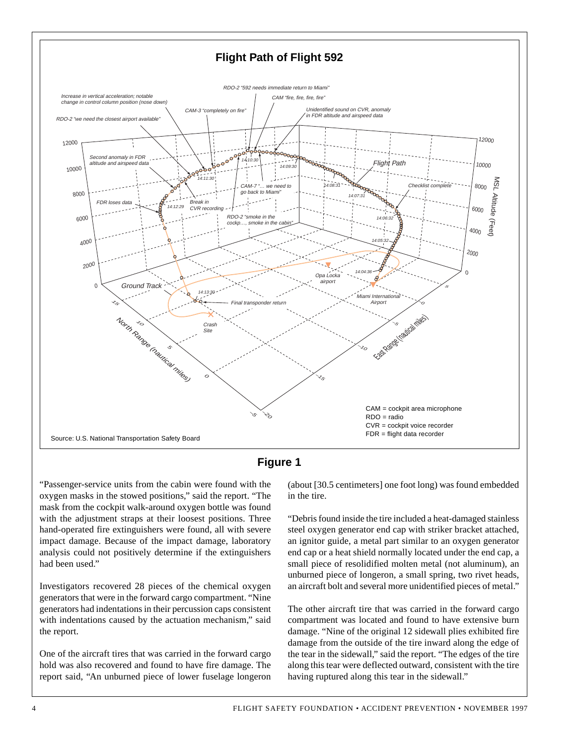



"Passenger-service units from the cabin were found with the oxygen masks in the stowed positions," said the report. "The mask from the cockpit walk-around oxygen bottle was found with the adjustment straps at their loosest positions. Three hand-operated fire extinguishers were found, all with severe impact damage. Because of the impact damage, laboratory analysis could not positively determine if the extinguishers had been used."

Investigators recovered 28 pieces of the chemical oxygen generators that were in the forward cargo compartment. "Nine generators had indentations in their percussion caps consistent with indentations caused by the actuation mechanism," said the report.

One of the aircraft tires that was carried in the forward cargo hold was also recovered and found to have fire damage. The report said, "An unburned piece of lower fuselage longeron

(about [30.5 centimeters] one foot long) was found embedded in the tire.

"Debris found inside the tire included a heat-damaged stainless steel oxygen generator end cap with striker bracket attached, an ignitor guide, a metal part similar to an oxygen generator end cap or a heat shield normally located under the end cap, a small piece of resolidified molten metal (not aluminum), an unburned piece of longeron, a small spring, two rivet heads, an aircraft bolt and several more unidentified pieces of metal."

The other aircraft tire that was carried in the forward cargo compartment was located and found to have extensive burn damage. "Nine of the original 12 sidewall plies exhibited fire damage from the outside of the tire inward along the edge of the tear in the sidewall," said the report. "The edges of the tire along this tear were deflected outward, consistent with the tire having ruptured along this tear in the sidewall."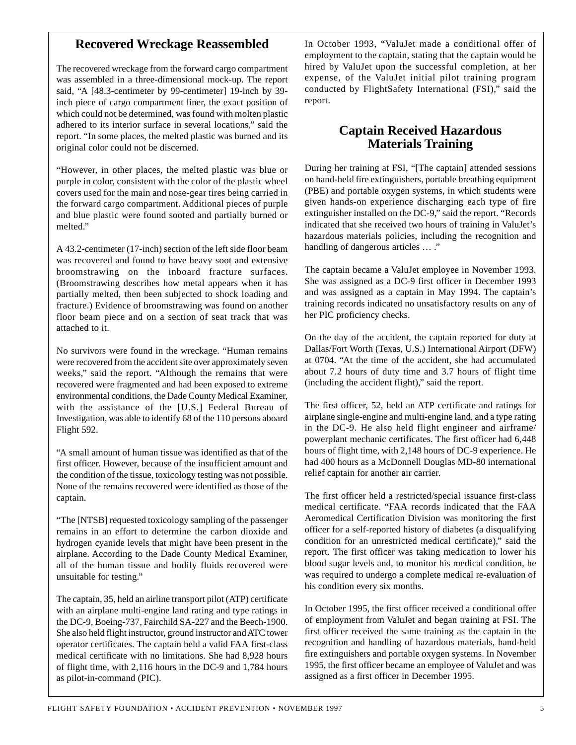#### **Recovered Wreckage Reassembled**

The recovered wreckage from the forward cargo compartment was assembled in a three-dimensional mock-up. The report said, "A [48.3-centimeter by 99-centimeter] 19-inch by 39 inch piece of cargo compartment liner, the exact position of which could not be determined, was found with molten plastic adhered to its interior surface in several locations," said the report. "In some places, the melted plastic was burned and its original color could not be discerned.

"However, in other places, the melted plastic was blue or purple in color, consistent with the color of the plastic wheel covers used for the main and nose-gear tires being carried in the forward cargo compartment. Additional pieces of purple and blue plastic were found sooted and partially burned or melted."

A 43.2-centimeter (17-inch) section of the left side floor beam was recovered and found to have heavy soot and extensive broomstrawing on the inboard fracture surfaces. (Broomstrawing describes how metal appears when it has partially melted, then been subjected to shock loading and fracture.) Evidence of broomstrawing was found on another floor beam piece and on a section of seat track that was attached to it.

No survivors were found in the wreckage. "Human remains were recovered from the accident site over approximately seven weeks," said the report. "Although the remains that were recovered were fragmented and had been exposed to extreme environmental conditions, the Dade County Medical Examiner, with the assistance of the [U.S.] Federal Bureau of Investigation, was able to identify 68 of the 110 persons aboard Flight 592.

"A small amount of human tissue was identified as that of the first officer. However, because of the insufficient amount and the condition of the tissue, toxicology testing was not possible. None of the remains recovered were identified as those of the captain.

"The [NTSB] requested toxicology sampling of the passenger remains in an effort to determine the carbon dioxide and hydrogen cyanide levels that might have been present in the airplane. According to the Dade County Medical Examiner, all of the human tissue and bodily fluids recovered were unsuitable for testing."

The captain, 35, held an airline transport pilot (ATP) certificate with an airplane multi-engine land rating and type ratings in the DC-9, Boeing-737, Fairchild SA-227 and the Beech-1900. She also held flight instructor, ground instructor and ATC tower operator certificates. The captain held a valid FAA first-class medical certificate with no limitations. She had 8,928 hours of flight time, with 2,116 hours in the DC-9 and 1,784 hours as pilot-in-command (PIC).

In October 1993, "ValuJet made a conditional offer of employment to the captain, stating that the captain would be hired by ValuJet upon the successful completion, at her expense, of the ValuJet initial pilot training program conducted by FlightSafety International (FSI)," said the report.

#### **Captain Received Hazardous Materials Training**

During her training at FSI, "[The captain] attended sessions on hand-held fire extinguishers, portable breathing equipment (PBE) and portable oxygen systems, in which students were given hands-on experience discharging each type of fire extinguisher installed on the DC-9," said the report. "Records indicated that she received two hours of training in ValuJet's hazardous materials policies, including the recognition and handling of dangerous articles … ."

The captain became a ValuJet employee in November 1993. She was assigned as a DC-9 first officer in December 1993 and was assigned as a captain in May 1994. The captain's training records indicated no unsatisfactory results on any of her PIC proficiency checks.

On the day of the accident, the captain reported for duty at Dallas/Fort Worth (Texas, U.S.) International Airport (DFW) at 0704. "At the time of the accident, she had accumulated about 7.2 hours of duty time and 3.7 hours of flight time (including the accident flight)," said the report.

The first officer, 52, held an ATP certificate and ratings for airplane single-engine and multi-engine land, and a type rating in the DC-9. He also held flight engineer and airframe/ powerplant mechanic certificates. The first officer had 6,448 hours of flight time, with 2,148 hours of DC-9 experience. He had 400 hours as a McDonnell Douglas MD-80 international relief captain for another air carrier.

The first officer held a restricted/special issuance first-class medical certificate. "FAA records indicated that the FAA Aeromedical Certification Division was monitoring the first officer for a self-reported history of diabetes (a disqualifying condition for an unrestricted medical certificate)," said the report. The first officer was taking medication to lower his blood sugar levels and, to monitor his medical condition, he was required to undergo a complete medical re-evaluation of his condition every six months.

In October 1995, the first officer received a conditional offer of employment from ValuJet and began training at FSI. The first officer received the same training as the captain in the recognition and handling of hazardous materials, hand-held fire extinguishers and portable oxygen systems. In November 1995, the first officer became an employee of ValuJet and was assigned as a first officer in December 1995.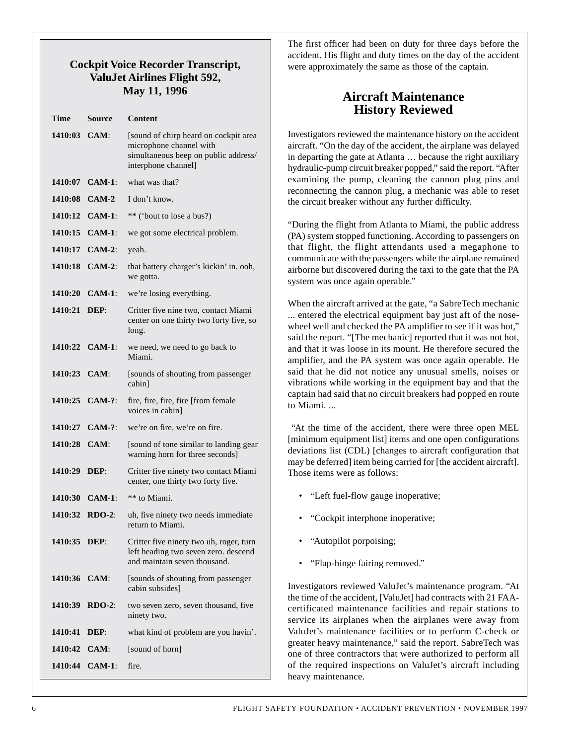#### **Cockpit Voice Recorder Transcript, ValuJet Airlines Flight 592, May 11, 1996**

| Source             | Content                                                                                                                         |
|--------------------|---------------------------------------------------------------------------------------------------------------------------------|
| 1410:03 CAM:       | [sound of chirp heard on cockpit area<br>microphone channel with<br>simultaneous beep on public address/<br>interphone channel] |
| $1410:07$ CAM-1:   | what was that?                                                                                                                  |
| 1410:08 CAM-2      | I don't know.                                                                                                                   |
| $1410:12$ $CAM-1:$ | ** ('bout to lose a bus?)                                                                                                       |
| 1410:15 CAM-1:     | we got some electrical problem.                                                                                                 |
| 1410:17 CAM-2:     | yeah.                                                                                                                           |
| 1410:18 CAM-2:     | that battery charger's kickin' in. ooh,<br>we gotta.                                                                            |
| 1410:20 CAM-1:     | we're losing everything.                                                                                                        |
| 1410:21 DEP:       | Critter five nine two, contact Miami<br>center on one thirty two forty five, so<br>long.                                        |
| 1410:22 CAM-1:     | we need, we need to go back to<br>Miami.                                                                                        |
| $1410:23$ $CAM:$   | [sounds of shouting from passenger<br>cabin]                                                                                    |
| 1410:25 CAM-?:     | fire, fire, fire, fire [from female<br>voices in cabin]                                                                         |
| 1410:27 CAM-?:     | we're on fire, we're on fire.                                                                                                   |
| 1410:28 CAM:       | [sound of tone similar to landing gear<br>warning horn for three seconds]                                                       |
| 1410:29 DEP:       | Critter five ninety two contact Miami<br>center, one thirty two forty five.                                                     |
| $1410:30$ CAM-1:   | ** to Miami.                                                                                                                    |
| 1410:32 RDO-2:     | uh, five ninety two needs immediate<br>return to Miami.                                                                         |
| 1410:35 DEP:       | Critter five ninety two uh, roger, turn<br>left heading two seven zero. descend<br>and maintain seven thousand.                 |
| 1410:36 CAM:       | [sounds of shouting from passenger<br>cabin subsides]                                                                           |
| 1410:39 RDO-2:     | two seven zero, seven thousand, five<br>ninety two.                                                                             |
| DEP:               | what kind of problem are you havin'.                                                                                            |
| 1410:42 CAM:       | [sound of horn]                                                                                                                 |
| 1410:44 CAM-1:     | fire.                                                                                                                           |
|                    |                                                                                                                                 |

The first officer had been on duty for three days before the accident. His flight and duty times on the day of the accident were approximately the same as those of the captain.

### **Aircraft Maintenance History Reviewed**

Investigators reviewed the maintenance history on the accident aircraft. "On the day of the accident, the airplane was delayed in departing the gate at Atlanta … because the right auxiliary hydraulic-pump circuit breaker popped," said the report. "After examining the pump, cleaning the cannon plug pins and reconnecting the cannon plug, a mechanic was able to reset the circuit breaker without any further difficulty.

"During the flight from Atlanta to Miami, the public address (PA) system stopped functioning. According to passengers on that flight, the flight attendants used a megaphone to communicate with the passengers while the airplane remained airborne but discovered during the taxi to the gate that the PA system was once again operable."

When the aircraft arrived at the gate, "a SabreTech mechanic ... entered the electrical equipment bay just aft of the nosewheel well and checked the PA amplifier to see if it was hot," said the report. "[The mechanic] reported that it was not hot, and that it was loose in its mount. He therefore secured the amplifier, and the PA system was once again operable. He said that he did not notice any unusual smells, noises or vibrations while working in the equipment bay and that the captain had said that no circuit breakers had popped en route to Miami. ...

"At the time of the accident, there were three open MEL [minimum equipment list] items and one open configurations deviations list (CDL) [changes to aircraft configuration that may be deferred] item being carried for [the accident aircraft]. Those items were as follows:

- "Left fuel-flow gauge inoperative;
- "Cockpit interphone inoperative;
- "Autopilot porpoising;
- "Flap-hinge fairing removed."

Investigators reviewed ValuJet's maintenance program. "At the time of the accident, [ValuJet] had contracts with 21 FAAcertificated maintenance facilities and repair stations to service its airplanes when the airplanes were away from ValuJet's maintenance facilities or to perform C-check or greater heavy maintenance," said the report. SabreTech was one of three contractors that were authorized to perform all of the required inspections on ValuJet's aircraft including heavy maintenance.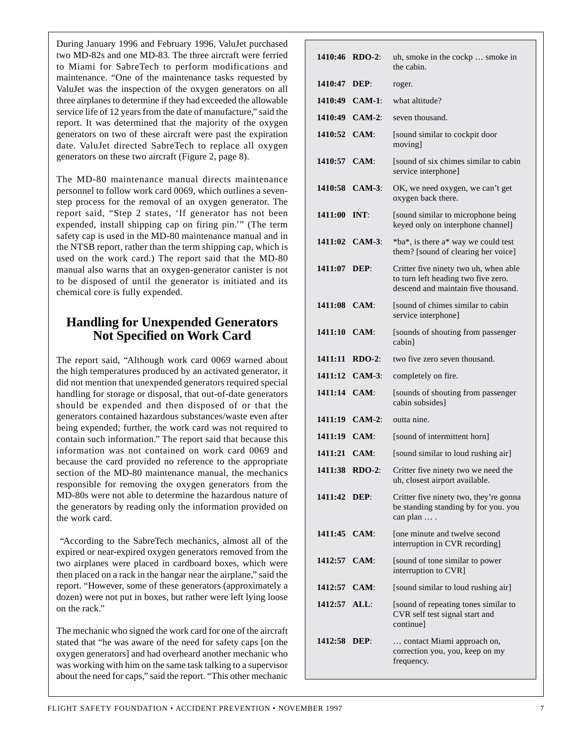During January 1996 and February 1996, ValuJet purchased two MD-82s and one MD-83. The three aircraft were ferried to Miami for SabreTech to perform modifications and maintenance. "One of the maintenance tasks requested by ValuJet was the inspection of the oxygen generators on all three airplanes to determine if they had exceeded the allowable service life of 12 years from the date of manufacture," said the report. It was determined that the majority of the oxygen generators on two of these aircraft were past the expiration date. ValuJet directed SabreTech to replace all oxygen generators on these two aircraft (Figure 2, page 8).

The MD-80 maintenance manual directs maintenance personnel to follow work card 0069, which outlines a sevenstep process for the removal of an oxygen generator. The report said, "Step 2 states, 'If generator has not been expended, install shipping cap on firing pin.'" (The term safety cap is used in the MD-80 maintenance manual and in the NTSB report, rather than the term shipping cap, which is used on the work card.) The report said that the MD-80 manual also warns that an oxygen-generator canister is not to be disposed of until the generator is initiated and its chemical core is fully expended.

### **Handling for Unexpended Generators Not Specified on Work Card**

The report said, "Although work card 0069 warned about the high temperatures produced by an activated generator, it did not mention that unexpended generators required special handling for storage or disposal, that out-of-date generators should be expended and then disposed of or that the generators contained hazardous substances/waste even after being expended; further, the work card was not required to contain such information." The report said that because this information was not contained on work card 0069 and because the card provided no reference to the appropriate section of the MD-80 maintenance manual, the mechanics responsible for removing the oxygen generators from the MD-80s were not able to determine the hazardous nature of the generators by reading only the information provided on the work card.

"According to the SabreTech mechanics, almost all of the expired or near-expired oxygen generators removed from the two airplanes were placed in cardboard boxes, which were then placed on a rack in the hangar near the airplane," said the report. "However, some of these generators (approximately a dozen) were not put in boxes, but rather were left lying loose on the rack."

The mechanic who signed the work card for one of the aircraft stated that "he was aware of the need for safety caps [on the oxygen generators] and had overheard another mechanic who was working with him on the same task talking to a supervisor about the need for caps," said the report. "This other mechanic

| 1410:46 RDO-2: |                | uh, smoke in the cockp  smoke in<br>the cabin.                                                                      |
|----------------|----------------|---------------------------------------------------------------------------------------------------------------------|
| 1410:47        | DEF:           | roger.                                                                                                              |
| 1410:49        | $CAM-1:$       | what altitude?                                                                                                      |
| 1410:49        | $CAM-2:$       | seven thousand.                                                                                                     |
| 1410:52 CAM:   |                | [sound similar to cockpit door<br>moving]                                                                           |
| 1410:57 CAM:   |                | [sound of six chimes similar to cabin<br>service interphone]                                                        |
| 1410:58        | $CAM-3:$       | OK, we need oxygen, we can't get<br>oxygen back there.                                                              |
| 1411:00        | INT:           | [sound similar to microphone being]<br>keyed only on interphone channel]                                            |
|                | 1411:02 CAM-3: | *ba*, is there a* way we could test<br>them? [sound of clearing her voice]                                          |
| 1411:07 DEP:   |                | Critter five ninety two uh, when able<br>to turn left heading two five zero.<br>descend and maintain five thousand. |
| 1411:08 CAM:   |                | [sound of chimes similar to cabin]<br>service interphone]                                                           |
| 1411:10 CAM:   |                | [sounds of shouting from passenger<br>cabin]                                                                        |
| 1411:11        | $RDO-2$ :      | two five zero seven thousand.                                                                                       |
| 1411:12        | $CAM-3:$       | completely on fire.                                                                                                 |
| 1411:14 CAM:   |                | [sounds of shouting from passenger<br>cabin subsides]                                                               |
| 1411:19        | $CAM-2:$       | outta nine.                                                                                                         |
| 1411:19 CAM:   |                | [sound of intermittent horn]                                                                                        |
| 1411:21 CAM:   |                | [sound similar to loud rushing air]                                                                                 |
|                | 1411:38 RDO-2: | Critter five ninety two we need the<br>uh, closest airport available.                                               |
| 1411:42        | DEP:           | Critter five ninety two, they're gonna<br>be standing standing by for you. you<br>can plan  .                       |
| 1411:45 CAM:   |                | [one minute and twelve second<br>interruption in CVR recording]                                                     |
| 1412:57 CAM:   |                | [sound of tone similar to power<br>interruption to CVR]                                                             |
| 1412:57        | $CAM$ :        | [sound similar to loud rushing air]                                                                                 |
| 1412:57 ALL:   |                | [sound of repeating tones similar to<br>CVR self test signal start and<br>continuel                                 |
| 1412:58 DEP:   |                | contact Miami approach on,<br>correction you, you, keep on my<br>frequency.                                         |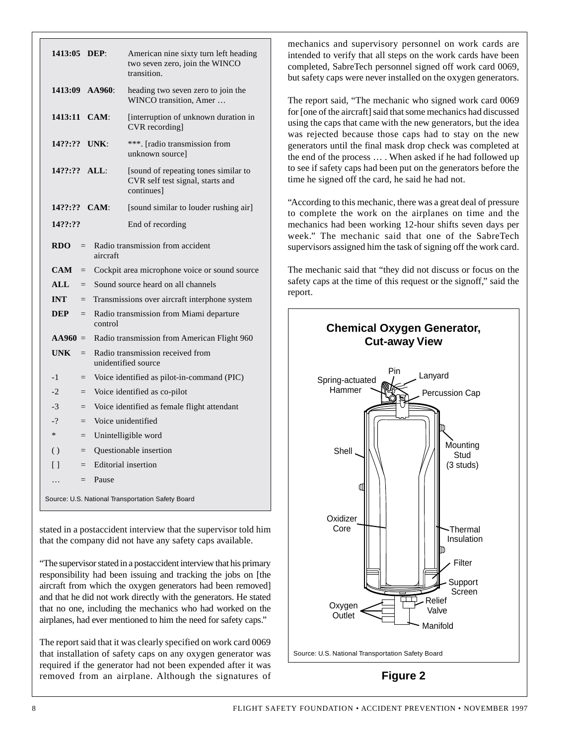| 1413:05 DEP:                                                      |                          |                                                         | American nine sixty turn left heading<br>two seven zero, join the WINCO<br>transition. |  |
|-------------------------------------------------------------------|--------------------------|---------------------------------------------------------|----------------------------------------------------------------------------------------|--|
| 1413:09 AA960:                                                    |                          |                                                         | heading two seven zero to join the<br>WINCO transition, Amer                           |  |
| 1413:11 CAM:                                                      |                          |                                                         | [interruption of unknown duration in<br>CVR recording                                  |  |
| 14??:?? UNK:                                                      |                          |                                                         | ***. [radio transmission from<br>unknown source]                                       |  |
| 14??:?? ALL:                                                      |                          |                                                         | [sound of repeating tones similar to<br>CVR self test signal, starts and<br>continues] |  |
| 14??:?? CAM:                                                      |                          |                                                         | [sound similar to louder rushing air]                                                  |  |
| 14??:??                                                           |                          |                                                         | End of recording                                                                       |  |
| <b>RDO</b><br>Radio transmission from accident<br>$=$<br>aircraft |                          |                                                         |                                                                                        |  |
| <b>CAM</b>                                                        | $=$                      |                                                         | Cockpit area microphone voice or sound source                                          |  |
| <b>ALL</b>                                                        | $=$                      | Sound source heard on all channels                      |                                                                                        |  |
| <b>INT</b>                                                        | $=$                      | Transmissions over aircraft interphone system           |                                                                                        |  |
| <b>DEP</b>                                                        | $=$                      | Radio transmission from Miami departure<br>control      |                                                                                        |  |
| $AA960 =$                                                         |                          |                                                         | Radio transmission from American Flight 960                                            |  |
| <b>UNK</b>                                                        | $=$                      | Radio transmission received from<br>unidentified source |                                                                                        |  |
| $-1$                                                              | $=$                      | Voice identified as pilot-in-command (PIC)              |                                                                                        |  |
| $-2$                                                              | $=$                      | Voice identified as co-pilot                            |                                                                                        |  |
| $-3$                                                              | $=$                      | Voice identified as female flight attendant             |                                                                                        |  |
| $-2$                                                              | $\overline{\phantom{m}}$ | Voice unidentified                                      |                                                                                        |  |
| $\ast$                                                            | $=$                      | Unintelligible word                                     |                                                                                        |  |
| $\left( \ \right)$                                                | $=$                      | Questionable insertion                                  |                                                                                        |  |
| $\Box$                                                            | $=$                      | Editorial insertion                                     |                                                                                        |  |
| .                                                                 | $=$                      | Pause                                                   |                                                                                        |  |
| Source: U.S. National Transportation Safety Board                 |                          |                                                         |                                                                                        |  |

stated in a postaccident interview that the supervisor told him that the company did not have any safety caps available.

"The supervisor stated in a postaccident interview that his primary responsibility had been issuing and tracking the jobs on [the aircraft from which the oxygen generators had been removed] and that he did not work directly with the generators. He stated that no one, including the mechanics who had worked on the airplanes, had ever mentioned to him the need for safety caps."

The report said that it was clearly specified on work card 0069 that installation of safety caps on any oxygen generator was required if the generator had not been expended after it was removed from an airplane. Although the signatures of mechanics and supervisory personnel on work cards are intended to verify that all steps on the work cards have been completed, SabreTech personnel signed off work card 0069, but safety caps were never installed on the oxygen generators.

The report said, "The mechanic who signed work card 0069 for [one of the aircraft] said that some mechanics had discussed using the caps that came with the new generators, but the idea was rejected because those caps had to stay on the new generators until the final mask drop check was completed at the end of the process … . When asked if he had followed up to see if safety caps had been put on the generators before the time he signed off the card, he said he had not.

"According to this mechanic, there was a great deal of pressure to complete the work on the airplanes on time and the mechanics had been working 12-hour shifts seven days per week." The mechanic said that one of the SabreTech supervisors assigned him the task of signing off the work card.

The mechanic said that "they did not discuss or focus on the safety caps at the time of this request or the signoff," said the report.



8 **SECUTE SAFETY FOUNDATION • ACCIDENT PREVENTION • NOVEMBER 1997**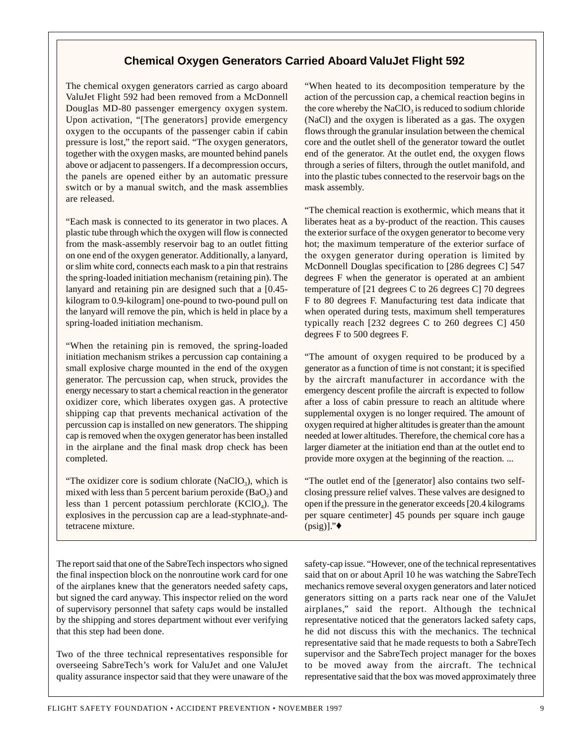#### **Chemical Oxygen Generators Carried Aboard ValuJet Flight 592**

The chemical oxygen generators carried as cargo aboard ValuJet Flight 592 had been removed from a McDonnell Douglas MD-80 passenger emergency oxygen system. Upon activation, "[The generators] provide emergency oxygen to the occupants of the passenger cabin if cabin pressure is lost," the report said. "The oxygen generators, together with the oxygen masks, are mounted behind panels above or adjacent to passengers. If a decompression occurs, the panels are opened either by an automatic pressure switch or by a manual switch, and the mask assemblies are released.

"Each mask is connected to its generator in two places. A plastic tube through which the oxygen will flow is connected from the mask-assembly reservoir bag to an outlet fitting on one end of the oxygen generator. Additionally, a lanyard, or slim white cord, connects each mask to a pin that restrains the spring-loaded initiation mechanism (retaining pin). The lanyard and retaining pin are designed such that a [0.45 kilogram to 0.9-kilogram] one-pound to two-pound pull on the lanyard will remove the pin, which is held in place by a spring-loaded initiation mechanism.

"When the retaining pin is removed, the spring-loaded initiation mechanism strikes a percussion cap containing a small explosive charge mounted in the end of the oxygen generator. The percussion cap, when struck, provides the energy necessary to start a chemical reaction in the generator oxidizer core, which liberates oxygen gas. A protective shipping cap that prevents mechanical activation of the percussion cap is installed on new generators. The shipping cap is removed when the oxygen generator has been installed in the airplane and the final mask drop check has been completed.

"The oxidizer core is sodium chlorate (NaClO<sub>3</sub>), which is mixed with less than 5 percent barium peroxide  $(BaO<sub>2</sub>)$  and less than 1 percent potassium perchlorate  $(KClO<sub>4</sub>)$ . The explosives in the percussion cap are a lead-styphnate-andtetracene mixture.

The report said that one of the SabreTech inspectors who signed the final inspection block on the nonroutine work card for one of the airplanes knew that the generators needed safety caps, but signed the card anyway. This inspector relied on the word of supervisory personnel that safety caps would be installed by the shipping and stores department without ever verifying that this step had been done.

Two of the three technical representatives responsible for overseeing SabreTech's work for ValuJet and one ValuJet quality assurance inspector said that they were unaware of the "When heated to its decomposition temperature by the action of the percussion cap, a chemical reaction begins in the core whereby the  $NaClO<sub>3</sub>$  is reduced to sodium chloride (NaCl) and the oxygen is liberated as a gas. The oxygen flows through the granular insulation between the chemical core and the outlet shell of the generator toward the outlet end of the generator. At the outlet end, the oxygen flows through a series of filters, through the outlet manifold, and into the plastic tubes connected to the reservoir bags on the mask assembly.

"The chemical reaction is exothermic, which means that it liberates heat as a by-product of the reaction. This causes the exterior surface of the oxygen generator to become very hot; the maximum temperature of the exterior surface of the oxygen generator during operation is limited by McDonnell Douglas specification to [286 degrees C] 547 degrees F when the generator is operated at an ambient temperature of [21 degrees C to 26 degrees C] 70 degrees F to 80 degrees F. Manufacturing test data indicate that when operated during tests, maximum shell temperatures typically reach  $[232$  degrees C to 260 degrees C $]$  450 degrees F to 500 degrees F.

"The amount of oxygen required to be produced by a generator as a function of time is not constant; it is specified by the aircraft manufacturer in accordance with the emergency descent profile the aircraft is expected to follow after a loss of cabin pressure to reach an altitude where supplemental oxygen is no longer required. The amount of oxygen required at higher altitudes is greater than the amount needed at lower altitudes. Therefore, the chemical core has a larger diameter at the initiation end than at the outlet end to provide more oxygen at the beginning of the reaction. ...

"The outlet end of the [generator] also contains two selfclosing pressure relief valves. These valves are designed to open if the pressure in the generator exceeds [20.4 kilograms per square centimeter] 45 pounds per square inch gauge  $(psig)$ ]." $\blacklozenge$ 

safety-cap issue. "However, one of the technical representatives said that on or about April 10 he was watching the SabreTech mechanics remove several oxygen generators and later noticed generators sitting on a parts rack near one of the ValuJet airplanes," said the report. Although the technical representative noticed that the generators lacked safety caps, he did not discuss this with the mechanics. The technical representative said that he made requests to both a SabreTech supervisor and the SabreTech project manager for the boxes to be moved away from the aircraft. The technical representative said that the box was moved approximately three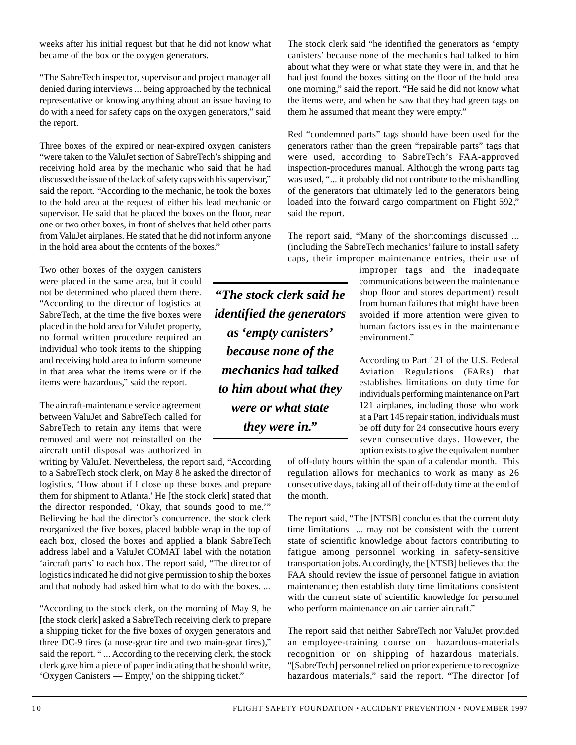weeks after his initial request but that he did not know what became of the box or the oxygen generators.

"The SabreTech inspector, supervisor and project manager all denied during interviews ... being approached by the technical representative or knowing anything about an issue having to do with a need for safety caps on the oxygen generators," said the report.

Three boxes of the expired or near-expired oxygen canisters "were taken to the ValuJet section of SabreTech's shipping and receiving hold area by the mechanic who said that he had discussed the issue of the lack of safety caps with his supervisor," said the report. "According to the mechanic, he took the boxes to the hold area at the request of either his lead mechanic or supervisor. He said that he placed the boxes on the floor, near one or two other boxes, in front of shelves that held other parts from ValuJet airplanes. He stated that he did not inform anyone in the hold area about the contents of the boxes."

Two other boxes of the oxygen canisters were placed in the same area, but it could not be determined who placed them there. "According to the director of logistics at SabreTech, at the time the five boxes were placed in the hold area for ValuJet property, no formal written procedure required an individual who took items to the shipping and receiving hold area to inform someone in that area what the items were or if the items were hazardous," said the report.

The aircraft-maintenance service agreement between ValuJet and SabreTech called for SabreTech to retain any items that were removed and were not reinstalled on the aircraft until disposal was authorized in

writing by ValuJet. Nevertheless, the report said, "According to a SabreTech stock clerk, on May 8 he asked the director of logistics, 'How about if I close up these boxes and prepare them for shipment to Atlanta.' He [the stock clerk] stated that the director responded, 'Okay, that sounds good to me.'" Believing he had the director's concurrence, the stock clerk reorganized the five boxes, placed bubble wrap in the top of each box, closed the boxes and applied a blank SabreTech address label and a ValuJet COMAT label with the notation 'aircraft parts' to each box. The report said, "The director of logistics indicated he did not give permission to ship the boxes and that nobody had asked him what to do with the boxes. ...

"According to the stock clerk, on the morning of May 9, he [the stock clerk] asked a SabreTech receiving clerk to prepare a shipping ticket for the five boxes of oxygen generators and three DC-9 tires (a nose-gear tire and two main-gear tires)," said the report. " ... According to the receiving clerk, the stock clerk gave him a piece of paper indicating that he should write, 'Oxygen Canisters — Empty,' on the shipping ticket."

*"The stock clerk said he identified the generators as 'empty canisters' because none of the mechanics had talked to him about what they were or what state they were in."*

The stock clerk said "he identified the generators as 'empty canisters' because none of the mechanics had talked to him about what they were or what state they were in, and that he had just found the boxes sitting on the floor of the hold area one morning," said the report. "He said he did not know what the items were, and when he saw that they had green tags on them he assumed that meant they were empty."

Red "condemned parts" tags should have been used for the generators rather than the green "repairable parts" tags that were used, according to SabreTech's FAA-approved inspection-procedures manual. Although the wrong parts tag was used, "... it probably did not contribute to the mishandling of the generators that ultimately led to the generators being loaded into the forward cargo compartment on Flight 592," said the report.

The report said, "Many of the shortcomings discussed ... (including the SabreTech mechanics' failure to install safety caps, their improper maintenance entries, their use of

> improper tags and the inadequate communications between the maintenance shop floor and stores department) result from human failures that might have been avoided if more attention were given to human factors issues in the maintenance environment."

> According to Part 121 of the U.S. Federal Aviation Regulations (FARs) that establishes limitations on duty time for individuals performing maintenance on Part 121 airplanes, including those who work at a Part 145 repair station, individuals must be off duty for 24 consecutive hours every seven consecutive days. However, the option exists to give the equivalent number

of off-duty hours within the span of a calendar month. This regulation allows for mechanics to work as many as 26 consecutive days, taking all of their off-duty time at the end of the month.

The report said, "The [NTSB] concludes that the current duty time limitations ... may not be consistent with the current state of scientific knowledge about factors contributing to fatigue among personnel working in safety-sensitive transportation jobs. Accordingly, the [NTSB] believes that the FAA should review the issue of personnel fatigue in aviation maintenance; then establish duty time limitations consistent with the current state of scientific knowledge for personnel who perform maintenance on air carrier aircraft."

The report said that neither SabreTech nor ValuJet provided an employee-training course on hazardous-materials recognition or on shipping of hazardous materials. "[SabreTech] personnel relied on prior experience to recognize hazardous materials," said the report. "The director [of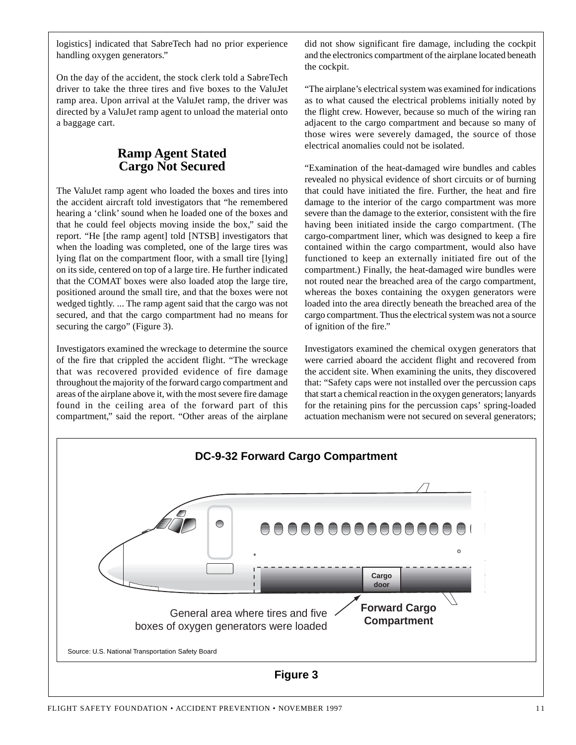logistics] indicated that SabreTech had no prior experience handling oxygen generators."

On the day of the accident, the stock clerk told a SabreTech driver to take the three tires and five boxes to the ValuJet ramp area. Upon arrival at the ValuJet ramp, the driver was directed by a ValuJet ramp agent to unload the material onto a baggage cart.

#### **Ramp Agent Stated Cargo Not Secured**

The ValuJet ramp agent who loaded the boxes and tires into the accident aircraft told investigators that "he remembered hearing a 'clink' sound when he loaded one of the boxes and that he could feel objects moving inside the box," said the report. "He [the ramp agent] told [NTSB] investigators that when the loading was completed, one of the large tires was lying flat on the compartment floor, with a small tire [lying] on its side, centered on top of a large tire. He further indicated that the COMAT boxes were also loaded atop the large tire, positioned around the small tire, and that the boxes were not wedged tightly. ... The ramp agent said that the cargo was not secured, and that the cargo compartment had no means for securing the cargo" (Figure 3).

Investigators examined the wreckage to determine the source of the fire that crippled the accident flight. "The wreckage that was recovered provided evidence of fire damage throughout the majority of the forward cargo compartment and areas of the airplane above it, with the most severe fire damage found in the ceiling area of the forward part of this compartment," said the report. "Other areas of the airplane did not show significant fire damage, including the cockpit and the electronics compartment of the airplane located beneath the cockpit.

"The airplane's electrical system was examined for indications as to what caused the electrical problems initially noted by the flight crew. However, because so much of the wiring ran adjacent to the cargo compartment and because so many of those wires were severely damaged, the source of those electrical anomalies could not be isolated.

"Examination of the heat-damaged wire bundles and cables revealed no physical evidence of short circuits or of burning that could have initiated the fire. Further, the heat and fire damage to the interior of the cargo compartment was more severe than the damage to the exterior, consistent with the fire having been initiated inside the cargo compartment. (The cargo-compartment liner, which was designed to keep a fire contained within the cargo compartment, would also have functioned to keep an externally initiated fire out of the compartment.) Finally, the heat-damaged wire bundles were not routed near the breached area of the cargo compartment, whereas the boxes containing the oxygen generators were loaded into the area directly beneath the breached area of the cargo compartment. Thus the electrical system was not a source of ignition of the fire."

Investigators examined the chemical oxygen generators that were carried aboard the accident flight and recovered from the accident site. When examining the units, they discovered that: "Safety caps were not installed over the percussion caps that start a chemical reaction in the oxygen generators; lanyards for the retaining pins for the percussion caps' spring-loaded actuation mechanism were not secured on several generators;

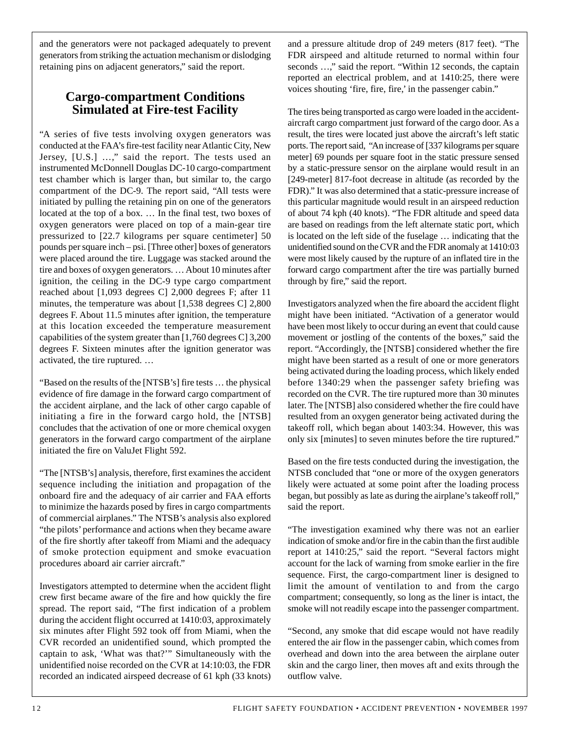and the generators were not packaged adequately to prevent generators from striking the actuation mechanism or dislodging retaining pins on adjacent generators," said the report.

## **Cargo-compartment Conditions Simulated at Fire-test Facility**

"A series of five tests involving oxygen generators was conducted at the FAA's fire-test facility near Atlantic City, New Jersey, [U.S.] …," said the report. The tests used an instrumented McDonnell Douglas DC-10 cargo-compartment test chamber which is larger than, but similar to, the cargo compartment of the DC-9. The report said, "All tests were initiated by pulling the retaining pin on one of the generators located at the top of a box. … In the final test, two boxes of oxygen generators were placed on top of a main-gear tire pressurized to [22.7 kilograms per square centimeter] 50 pounds per square inch – psi. [Three other] boxes of generators were placed around the tire. Luggage was stacked around the tire and boxes of oxygen generators. … About 10 minutes after ignition, the ceiling in the DC-9 type cargo compartment reached about [1,093 degrees C] 2,000 degrees F; after 11 minutes, the temperature was about [1,538 degrees C] 2,800 degrees F. About 11.5 minutes after ignition, the temperature at this location exceeded the temperature measurement capabilities of the system greater than [1,760 degrees C] 3,200 degrees F. Sixteen minutes after the ignition generator was activated, the tire ruptured. …

"Based on the results of the [NTSB's] fire tests … the physical evidence of fire damage in the forward cargo compartment of the accident airplane, and the lack of other cargo capable of initiating a fire in the forward cargo hold, the [NTSB] concludes that the activation of one or more chemical oxygen generators in the forward cargo compartment of the airplane initiated the fire on ValuJet Flight 592.

"The [NTSB's] analysis, therefore, first examines the accident sequence including the initiation and propagation of the onboard fire and the adequacy of air carrier and FAA efforts to minimize the hazards posed by fires in cargo compartments of commercial airplanes." The NTSB's analysis also explored "the pilots' performance and actions when they became aware of the fire shortly after takeoff from Miami and the adequacy of smoke protection equipment and smoke evacuation procedures aboard air carrier aircraft."

Investigators attempted to determine when the accident flight crew first became aware of the fire and how quickly the fire spread. The report said, "The first indication of a problem during the accident flight occurred at 1410:03, approximately six minutes after Flight 592 took off from Miami, when the CVR recorded an unidentified sound, which prompted the captain to ask, 'What was that?'" Simultaneously with the unidentified noise recorded on the CVR at 14:10:03, the FDR recorded an indicated airspeed decrease of 61 kph (33 knots)

and a pressure altitude drop of 249 meters (817 feet). "The FDR airspeed and altitude returned to normal within four seconds ...," said the report. "Within 12 seconds, the captain reported an electrical problem, and at 1410:25, there were voices shouting 'fire, fire, fire,' in the passenger cabin."

The tires being transported as cargo were loaded in the accidentaircraft cargo compartment just forward of the cargo door. As a result, the tires were located just above the aircraft's left static ports. The report said, "An increase of [337 kilograms per square meter] 69 pounds per square foot in the static pressure sensed by a static-pressure sensor on the airplane would result in an [249-meter] 817-foot decrease in altitude (as recorded by the FDR)." It was also determined that a static-pressure increase of this particular magnitude would result in an airspeed reduction of about 74 kph (40 knots). "The FDR altitude and speed data are based on readings from the left alternate static port, which is located on the left side of the fuselage … indicating that the unidentified sound on the CVR and the FDR anomaly at 1410:03 were most likely caused by the rupture of an inflated tire in the forward cargo compartment after the tire was partially burned through by fire," said the report.

Investigators analyzed when the fire aboard the accident flight might have been initiated. "Activation of a generator would have been most likely to occur during an event that could cause movement or jostling of the contents of the boxes," said the report. "Accordingly, the [NTSB] considered whether the fire might have been started as a result of one or more generators being activated during the loading process, which likely ended before 1340:29 when the passenger safety briefing was recorded on the CVR. The tire ruptured more than 30 minutes later. The [NTSB] also considered whether the fire could have resulted from an oxygen generator being activated during the takeoff roll, which began about 1403:34. However, this was only six [minutes] to seven minutes before the tire ruptured."

Based on the fire tests conducted during the investigation, the NTSB concluded that "one or more of the oxygen generators likely were actuated at some point after the loading process began, but possibly as late as during the airplane's takeoff roll," said the report.

"The investigation examined why there was not an earlier indication of smoke and/or fire in the cabin than the first audible report at 1410:25," said the report. "Several factors might account for the lack of warning from smoke earlier in the fire sequence. First, the cargo-compartment liner is designed to limit the amount of ventilation to and from the cargo compartment; consequently, so long as the liner is intact, the smoke will not readily escape into the passenger compartment.

"Second, any smoke that did escape would not have readily entered the air flow in the passenger cabin, which comes from overhead and down into the area between the airplane outer skin and the cargo liner, then moves aft and exits through the outflow valve.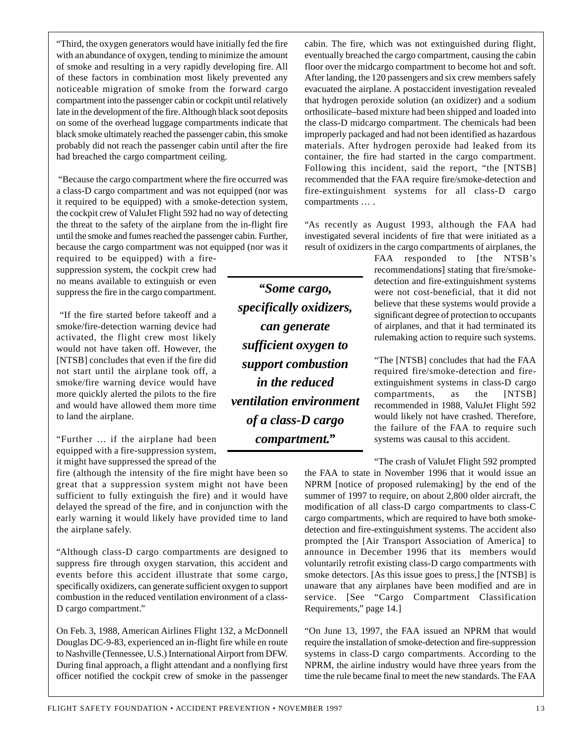"Third, the oxygen generators would have initially fed the fire with an abundance of oxygen, tending to minimize the amount of smoke and resulting in a very rapidly developing fire. All of these factors in combination most likely prevented any noticeable migration of smoke from the forward cargo compartment into the passenger cabin or cockpit until relatively late in the development of the fire. Although black soot deposits on some of the overhead luggage compartments indicate that black smoke ultimately reached the passenger cabin, this smoke probably did not reach the passenger cabin until after the fire had breached the cargo compartment ceiling.

"Because the cargo compartment where the fire occurred was a class-D cargo compartment and was not equipped (nor was it required to be equipped) with a smoke-detection system, the cockpit crew of ValuJet Flight 592 had no way of detecting the threat to the safety of the airplane from the in-flight fire until the smoke and fumes reached the passenger cabin. Further, because the cargo compartment was not equipped (nor was it

required to be equipped) with a firesuppression system, the cockpit crew had no means available to extinguish or even suppress the fire in the cargo compartment.

"If the fire started before takeoff and a smoke/fire-detection warning device had activated, the flight crew most likely would not have taken off. However, the [NTSB] concludes that even if the fire did not start until the airplane took off, a smoke/fire warning device would have more quickly alerted the pilots to the fire and would have allowed them more time to land the airplane.

"Further … if the airplane had been equipped with a fire-suppression system, it might have suppressed the spread of the

fire (although the intensity of the fire might have been so great that a suppression system might not have been sufficient to fully extinguish the fire) and it would have delayed the spread of the fire, and in conjunction with the early warning it would likely have provided time to land the airplane safely.

"Although class-D cargo compartments are designed to suppress fire through oxygen starvation, this accident and events before this accident illustrate that some cargo, specifically oxidizers, can generate sufficient oxygen to support combustion in the reduced ventilation environment of a class-D cargo compartment."

On Feb. 3, 1988, American Airlines Flight 132, a McDonnell Douglas DC-9-83, experienced an in-flight fire while en route to Nashville (Tennessee, U.S.) International Airport from DFW. During final approach, a flight attendant and a nonflying first officer notified the cockpit crew of smoke in the passenger

*"Some cargo, specifically oxidizers, can generate sufficient oxygen to support combustion in the reduced ventilation environment of a class-D cargo compartment."*

cabin. The fire, which was not extinguished during flight, eventually breached the cargo compartment, causing the cabin floor over the midcargo compartment to become hot and soft. After landing, the 120 passengers and six crew members safely evacuated the airplane. A postaccident investigation revealed that hydrogen peroxide solution (an oxidizer) and a sodium orthosilicate–based mixture had been shipped and loaded into the class-D midcargo compartment. The chemicals had been improperly packaged and had not been identified as hazardous materials. After hydrogen peroxide had leaked from its container, the fire had started in the cargo compartment. Following this incident, said the report, "the [NTSB] recommended that the FAA require fire/smoke-detection and fire-extinguishment systems for all class-D cargo compartments … .

"As recently as August 1993, although the FAA had investigated several incidents of fire that were initiated as a result of oxidizers in the cargo compartments of airplanes, the

> FAA responded to [the NTSB's recommendations] stating that fire/smokedetection and fire-extinguishment systems were not cost-beneficial, that it did not believe that these systems would provide a significant degree of protection to occupants of airplanes, and that it had terminated its rulemaking action to require such systems.

> "The [NTSB] concludes that had the FAA required fire/smoke-detection and fireextinguishment systems in class-D cargo compartments, as the [NTSB] recommended in 1988, ValuJet Flight 592 would likely not have crashed. Therefore, the failure of the FAA to require such systems was causal to this accident.

> "The crash of ValuJet Flight 592 prompted

the FAA to state in November 1996 that it would issue an NPRM [notice of proposed rulemaking] by the end of the summer of 1997 to require, on about 2,800 older aircraft, the modification of all class-D cargo compartments to class-C cargo compartments, which are required to have both smokedetection and fire-extinguishment systems. The accident also prompted the [Air Transport Association of America] to announce in December 1996 that its members would voluntarily retrofit existing class-D cargo compartments with smoke detectors. [As this issue goes to press,] the [NTSB] is unaware that any airplanes have been modified and are in service. [See "Cargo Compartment Classification Requirements," page 14.]

"On June 13, 1997, the FAA issued an NPRM that would require the installation of smoke-detection and fire-suppression systems in class-D cargo compartments. According to the NPRM, the airline industry would have three years from the time the rule became final to meet the new standards. The FAA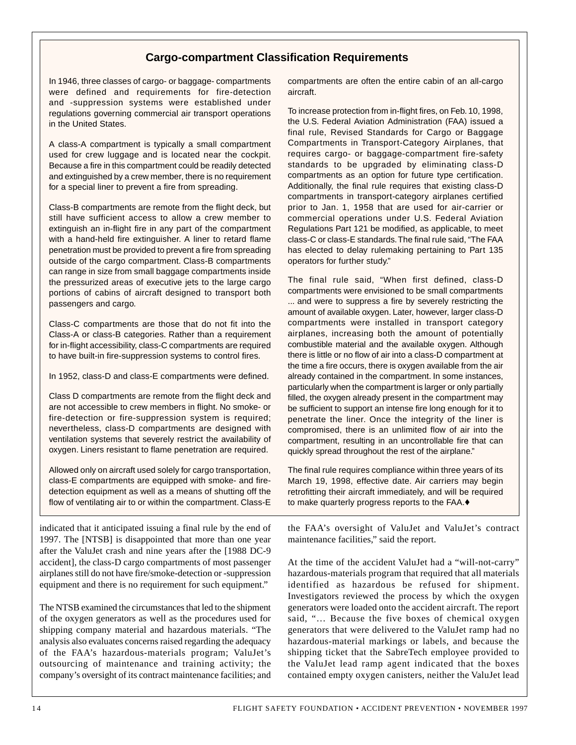#### **Cargo-compartment Classification Requirements**

In 1946, three classes of cargo- or baggage- compartments were defined and requirements for fire-detection and -suppression systems were established under regulations governing commercial air transport operations in the United States.

A class-A compartment is typically a small compartment used for crew luggage and is located near the cockpit. Because a fire in this compartment could be readily detected and extinguished by a crew member, there is no requirement for a special liner to prevent a fire from spreading.

Class-B compartments are remote from the flight deck, but still have sufficient access to allow a crew member to extinguish an in-flight fire in any part of the compartment with a hand-held fire extinguisher. A liner to retard flame penetration must be provided to prevent a fire from spreading outside of the cargo compartment. Class-B compartments can range in size from small baggage compartments inside the pressurized areas of executive jets to the large cargo portions of cabins of aircraft designed to transport both passengers and cargo.

Class-C compartments are those that do not fit into the Class-A or class-B categories. Rather than a requirement for in-flight accessibility, class-C compartments are required to have built-in fire-suppression systems to control fires.

In 1952, class-D and class-E compartments were defined.

Class D compartments are remote from the flight deck and are not accessible to crew members in flight. No smoke- or fire-detection or fire-suppression system is required; nevertheless, class-D compartments are designed with ventilation systems that severely restrict the availability of oxygen. Liners resistant to flame penetration are required.

Allowed only on aircraft used solely for cargo transportation, class-E compartments are equipped with smoke- and firedetection equipment as well as a means of shutting off the flow of ventilating air to or within the compartment. Class-E

indicated that it anticipated issuing a final rule by the end of 1997. The [NTSB] is disappointed that more than one year after the ValuJet crash and nine years after the [1988 DC-9 accident], the class-D cargo compartments of most passenger airplanes still do not have fire/smoke-detection or -suppression equipment and there is no requirement for such equipment."

The NTSB examined the circumstances that led to the shipment of the oxygen generators as well as the procedures used for shipping company material and hazardous materials. "The analysis also evaluates concerns raised regarding the adequacy of the FAA's hazardous-materials program; ValuJet's outsourcing of maintenance and training activity; the company's oversight of its contract maintenance facilities; and compartments are often the entire cabin of an all-cargo aircraft.

To increase protection from in-flight fires, on Feb. 10, 1998, the U.S. Federal Aviation Administration (FAA) issued a final rule, Revised Standards for Cargo or Baggage Compartments in Transport-Category Airplanes, that requires cargo- or baggage-compartment fire-safety standards to be upgraded by eliminating class-D compartments as an option for future type certification. Additionally, the final rule requires that existing class-D compartments in transport-category airplanes certified prior to Jan. 1, 1958 that are used for air-carrier or commercial operations under U.S. Federal Aviation Regulations Part 121 be modified, as applicable, to meet class-C or class-E standards. The final rule said, "The FAA has elected to delay rulemaking pertaining to Part 135 operators for further study."

The final rule said, "When first defined, class-D compartments were envisioned to be small compartments ... and were to suppress a fire by severely restricting the amount of available oxygen. Later, however, larger class-D compartments were installed in transport category airplanes, increasing both the amount of potentially combustible material and the available oxygen. Although there is little or no flow of air into a class-D compartment at the time a fire occurs, there is oxygen available from the air already contained in the compartment. In some instances, particularly when the compartment is larger or only partially filled, the oxygen already present in the compartment may be sufficient to support an intense fire long enough for it to penetrate the liner. Once the integrity of the liner is compromised, there is an unlimited flow of air into the compartment, resulting in an uncontrollable fire that can quickly spread throughout the rest of the airplane."

The final rule requires compliance within three years of its March 19, 1998, effective date. Air carriers may begin retrofitting their aircraft immediately, and will be required to make quarterly progress reports to the FAA.♦

the FAA's oversight of ValuJet and ValuJet's contract maintenance facilities," said the report.

At the time of the accident ValuJet had a "will-not-carry" hazardous-materials program that required that all materials identified as hazardous be refused for shipment. Investigators reviewed the process by which the oxygen generators were loaded onto the accident aircraft. The report said, "… Because the five boxes of chemical oxygen generators that were delivered to the ValuJet ramp had no hazardous-material markings or labels, and because the shipping ticket that the SabreTech employee provided to the ValuJet lead ramp agent indicated that the boxes contained empty oxygen canisters, neither the ValuJet lead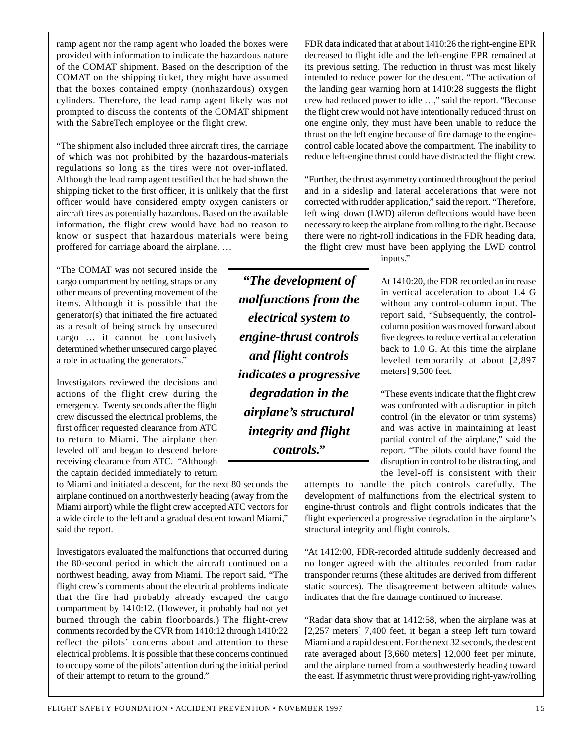ramp agent nor the ramp agent who loaded the boxes were provided with information to indicate the hazardous nature of the COMAT shipment. Based on the description of the COMAT on the shipping ticket, they might have assumed that the boxes contained empty (nonhazardous) oxygen cylinders. Therefore, the lead ramp agent likely was not prompted to discuss the contents of the COMAT shipment with the SabreTech employee or the flight crew.

"The shipment also included three aircraft tires, the carriage of which was not prohibited by the hazardous-materials regulations so long as the tires were not over-inflated. Although the lead ramp agent testified that he had shown the shipping ticket to the first officer, it is unlikely that the first officer would have considered empty oxygen canisters or aircraft tires as potentially hazardous. Based on the available information, the flight crew would have had no reason to know or suspect that hazardous materials were being proffered for carriage aboard the airplane. …

"The COMAT was not secured inside the cargo compartment by netting, straps or any other means of preventing movement of the items. Although it is possible that the generator(s) that initiated the fire actuated as a result of being struck by unsecured cargo … it cannot be conclusively determined whether unsecured cargo played a role in actuating the generators."

Investigators reviewed the decisions and actions of the flight crew during the emergency. Twenty seconds after the flight crew discussed the electrical problems, the first officer requested clearance from ATC to return to Miami. The airplane then leveled off and began to descend before receiving clearance from ATC. "Although the captain decided immediately to return

to Miami and initiated a descent, for the next 80 seconds the airplane continued on a northwesterly heading (away from the Miami airport) while the flight crew accepted ATC vectors for a wide circle to the left and a gradual descent toward Miami," said the report.

Investigators evaluated the malfunctions that occurred during the 80-second period in which the aircraft continued on a northwest heading, away from Miami. The report said, "The flight crew's comments about the electrical problems indicate that the fire had probably already escaped the cargo compartment by 1410:12. (However, it probably had not yet burned through the cabin floorboards.) The flight-crew comments recorded by the CVR from 1410:12 through 1410:22 reflect the pilots' concerns about and attention to these electrical problems. It is possible that these concerns continued to occupy some of the pilots' attention during the initial period of their attempt to return to the ground."

*"The development of malfunctions from the electrical system to engine-thrust controls and flight controls indicates a progressive degradation in the airplane's structural integrity and flight controls."*

FDR data indicated that at about 1410:26 the right-engine EPR decreased to flight idle and the left-engine EPR remained at its previous setting. The reduction in thrust was most likely intended to reduce power for the descent. "The activation of the landing gear warning horn at 1410:28 suggests the flight crew had reduced power to idle …," said the report. "Because the flight crew would not have intentionally reduced thrust on one engine only, they must have been unable to reduce the thrust on the left engine because of fire damage to the enginecontrol cable located above the compartment. The inability to reduce left-engine thrust could have distracted the flight crew.

"Further, the thrust asymmetry continued throughout the period and in a sideslip and lateral accelerations that were not corrected with rudder application," said the report. "Therefore, left wing–down (LWD) aileron deflections would have been necessary to keep the airplane from rolling to the right. Because there were no right-roll indications in the FDR heading data, the flight crew must have been applying the LWD control

inputs."

At 1410:20, the FDR recorded an increase in vertical acceleration to about 1.4 G without any control-column input. The report said, "Subsequently, the controlcolumn position was moved forward about five degrees to reduce vertical acceleration back to 1.0 G. At this time the airplane leveled temporarily at about [2,897 meters] 9,500 feet.

"These events indicate that the flight crew was confronted with a disruption in pitch control (in the elevator or trim systems) and was active in maintaining at least partial control of the airplane," said the report. "The pilots could have found the disruption in control to be distracting, and the level-off is consistent with their

attempts to handle the pitch controls carefully. The development of malfunctions from the electrical system to engine-thrust controls and flight controls indicates that the flight experienced a progressive degradation in the airplane's structural integrity and flight controls.

"At 1412:00, FDR-recorded altitude suddenly decreased and no longer agreed with the altitudes recorded from radar transponder returns (these altitudes are derived from different static sources). The disagreement between altitude values indicates that the fire damage continued to increase.

"Radar data show that at 1412:58, when the airplane was at [2,257 meters] 7,400 feet, it began a steep left turn toward Miami and a rapid descent. For the next 32 seconds, the descent rate averaged about [3,660 meters] 12,000 feet per minute, and the airplane turned from a southwesterly heading toward the east. If asymmetric thrust were providing right-yaw/rolling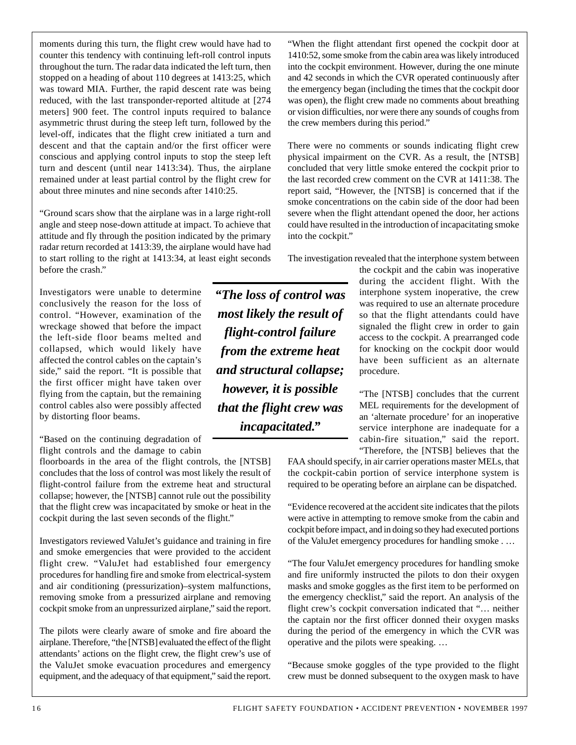moments during this turn, the flight crew would have had to counter this tendency with continuing left-roll control inputs throughout the turn. The radar data indicated the left turn, then stopped on a heading of about 110 degrees at 1413:25, which was toward MIA. Further, the rapid descent rate was being reduced, with the last transponder-reported altitude at [274 meters] 900 feet. The control inputs required to balance asymmetric thrust during the steep left turn, followed by the level-off, indicates that the flight crew initiated a turn and descent and that the captain and/or the first officer were conscious and applying control inputs to stop the steep left turn and descent (until near 1413:34). Thus, the airplane remained under at least partial control by the flight crew for about three minutes and nine seconds after 1410:25.

"Ground scars show that the airplane was in a large right-roll angle and steep nose-down attitude at impact. To achieve that attitude and fly through the position indicated by the primary radar return recorded at 1413:39, the airplane would have had to start rolling to the right at 1413:34, at least eight seconds before the crash."

Investigators were unable to determine conclusively the reason for the loss of control. "However, examination of the wreckage showed that before the impact the left-side floor beams melted and collapsed, which would likely have affected the control cables on the captain's side," said the report. "It is possible that the first officer might have taken over flying from the captain, but the remaining control cables also were possibly affected by distorting floor beams.

"Based on the continuing degradation of flight controls and the damage to cabin

floorboards in the area of the flight controls, the [NTSB] concludes that the loss of control was most likely the result of flight-control failure from the extreme heat and structural collapse; however, the [NTSB] cannot rule out the possibility that the flight crew was incapacitated by smoke or heat in the cockpit during the last seven seconds of the flight."

Investigators reviewed ValuJet's guidance and training in fire and smoke emergencies that were provided to the accident flight crew. "ValuJet had established four emergency procedures for handling fire and smoke from electrical-system and air conditioning (pressurization)–system malfunctions, removing smoke from a pressurized airplane and removing cockpit smoke from an unpressurized airplane," said the report.

The pilots were clearly aware of smoke and fire aboard the airplane. Therefore, "the [NTSB] evaluated the effect of the flight attendants' actions on the flight crew, the flight crew's use of the ValuJet smoke evacuation procedures and emergency equipment, and the adequacy of that equipment," said the report.

*"The loss of control was most likely the result of flight-control failure from the extreme heat and structural collapse; however, it is possible that the flight crew was incapacitated."*

"When the flight attendant first opened the cockpit door at 1410:52, some smoke from the cabin area was likely introduced into the cockpit environment. However, during the one minute and 42 seconds in which the CVR operated continuously after the emergency began (including the times that the cockpit door was open), the flight crew made no comments about breathing or vision difficulties, nor were there any sounds of coughs from the crew members during this period."

There were no comments or sounds indicating flight crew physical impairment on the CVR. As a result, the [NTSB] concluded that very little smoke entered the cockpit prior to the last recorded crew comment on the CVR at 1411:38. The report said, "However, the [NTSB] is concerned that if the smoke concentrations on the cabin side of the door had been severe when the flight attendant opened the door, her actions could have resulted in the introduction of incapacitating smoke into the cockpit."

The investigation revealed that the interphone system between

the cockpit and the cabin was inoperative during the accident flight. With the interphone system inoperative, the crew was required to use an alternate procedure so that the flight attendants could have signaled the flight crew in order to gain access to the cockpit. A prearranged code for knocking on the cockpit door would have been sufficient as an alternate procedure.

"The [NTSB] concludes that the current MEL requirements for the development of an 'alternate procedure' for an inoperative service interphone are inadequate for a cabin-fire situation," said the report. "Therefore, the [NTSB] believes that the

FAA should specify, in air carrier operations master MELs, that the cockpit-cabin portion of service interphone system is required to be operating before an airplane can be dispatched.

"Evidence recovered at the accident site indicates that the pilots were active in attempting to remove smoke from the cabin and cockpit before impact, and in doing so they had executed portions of the ValuJet emergency procedures for handling smoke . …

"The four ValuJet emergency procedures for handling smoke and fire uniformly instructed the pilots to don their oxygen masks and smoke goggles as the first item to be performed on the emergency checklist," said the report. An analysis of the flight crew's cockpit conversation indicated that "… neither the captain nor the first officer donned their oxygen masks during the period of the emergency in which the CVR was operative and the pilots were speaking. …

"Because smoke goggles of the type provided to the flight crew must be donned subsequent to the oxygen mask to have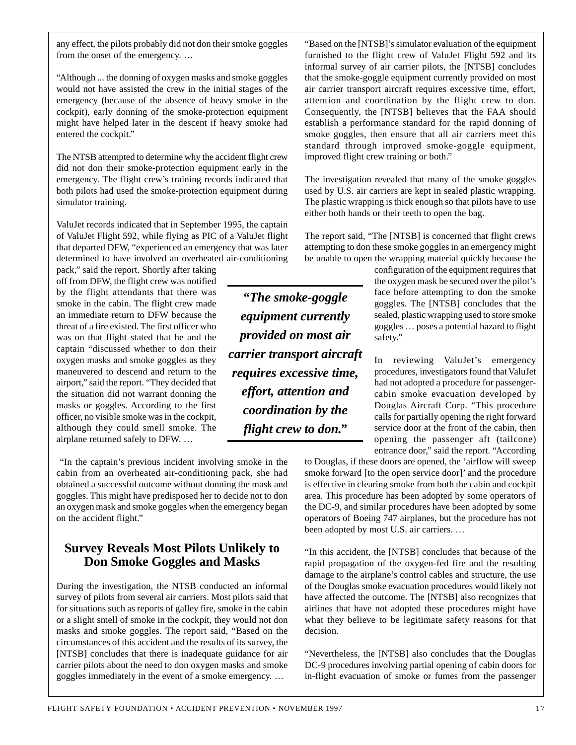any effect, the pilots probably did not don their smoke goggles from the onset of the emergency. …

"Although ... the donning of oxygen masks and smoke goggles would not have assisted the crew in the initial stages of the emergency (because of the absence of heavy smoke in the cockpit), early donning of the smoke-protection equipment might have helped later in the descent if heavy smoke had entered the cockpit."

The NTSB attempted to determine why the accident flight crew did not don their smoke-protection equipment early in the emergency. The flight crew's training records indicated that both pilots had used the smoke-protection equipment during simulator training.

ValuJet records indicated that in September 1995, the captain of ValuJet Flight 592, while flying as PIC of a ValuJet flight that departed DFW, "experienced an emergency that was later determined to have involved an overheated air-conditioning

pack," said the report. Shortly after taking off from DFW, the flight crew was notified by the flight attendants that there was smoke in the cabin. The flight crew made an immediate return to DFW because the threat of a fire existed. The first officer who was on that flight stated that he and the captain "discussed whether to don their oxygen masks and smoke goggles as they maneuvered to descend and return to the airport," said the report. "They decided that the situation did not warrant donning the masks or goggles. According to the first officer, no visible smoke was in the cockpit, although they could smell smoke. The airplane returned safely to DFW. …

"In the captain's previous incident involving smoke in the cabin from an overheated air-conditioning pack, she had obtained a successful outcome without donning the mask and goggles. This might have predisposed her to decide not to don an oxygen mask and smoke goggles when the emergency began on the accident flight."

#### **Survey Reveals Most Pilots Unlikely to Don Smoke Goggles and Masks**

During the investigation, the NTSB conducted an informal survey of pilots from several air carriers. Most pilots said that for situations such as reports of galley fire, smoke in the cabin or a slight smell of smoke in the cockpit, they would not don masks and smoke goggles. The report said, "Based on the circumstances of this accident and the results of its survey, the [NTSB] concludes that there is inadequate guidance for air goggles immediately in the event of a smoke emergency. …

"Based on the [NTSB]'s simulator evaluation of the equipment furnished to the flight crew of ValuJet Flight 592 and its informal survey of air carrier pilots, the [NTSB] concludes that the smoke-goggle equipment currently provided on most air carrier transport aircraft requires excessive time, effort, attention and coordination by the flight crew to don. Consequently, the [NTSB] believes that the FAA should establish a performance standard for the rapid donning of smoke goggles, then ensure that all air carriers meet this standard through improved smoke-goggle equipment, improved flight crew training or both."

The investigation revealed that many of the smoke goggles used by U.S. air carriers are kept in sealed plastic wrapping. The plastic wrapping is thick enough so that pilots have to use either both hands or their teeth to open the bag.

The report said, "The [NTSB] is concerned that flight crews attempting to don these smoke goggles in an emergency might be unable to open the wrapping material quickly because the

> configuration of the equipment requires that the oxygen mask be secured over the pilot's face before attempting to don the smoke goggles. The [NTSB] concludes that the sealed, plastic wrapping used to store smoke goggles … poses a potential hazard to flight safety."

> In reviewing ValuJet's emergency procedures, investigators found that ValuJet had not adopted a procedure for passengercabin smoke evacuation developed by Douglas Aircraft Corp. "This procedure calls for partially opening the right forward service door at the front of the cabin, then opening the passenger aft (tailcone) entrance door," said the report. "According

to Douglas, if these doors are opened, the 'airflow will sweep smoke forward [to the open service door]' and the procedure is effective in clearing smoke from both the cabin and cockpit area. This procedure has been adopted by some operators of the DC-9, and similar procedures have been adopted by some operators of Boeing 747 airplanes, but the procedure has not been adopted by most U.S. air carriers. …

"In this accident, the [NTSB] concludes that because of the rapid propagation of the oxygen-fed fire and the resulting damage to the airplane's control cables and structure, the use of the Douglas smoke evacuation procedures would likely not have affected the outcome. The [NTSB] also recognizes that airlines that have not adopted these procedures might have what they believe to be legitimate safety reasons for that decision.

"Nevertheless, the [NTSB] also concludes that the Douglas DC-9 procedures involving partial opening of cabin doors for in-flight evacuation of smoke or fumes from the passenger

FLIGHT SAFETY FOUNDATION • ACCIDENT PREVENTION • NOVEMBER 1997 17

*equipment currently provided on most air carrier transport aircraft requires excessive time, effort, attention and coordination by the flight crew to don."*

*"The smoke-goggle*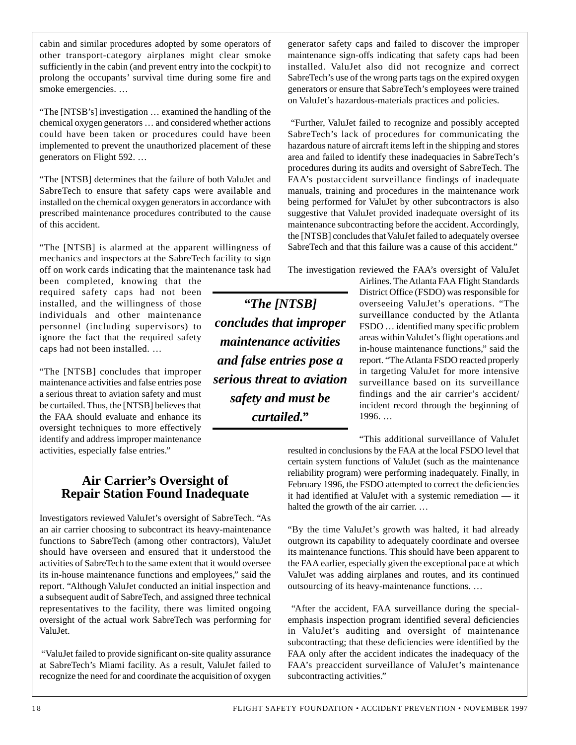cabin and similar procedures adopted by some operators of other transport-category airplanes might clear smoke sufficiently in the cabin (and prevent entry into the cockpit) to prolong the occupants' survival time during some fire and smoke emergencies. …

"The [NTSB's] investigation … examined the handling of the chemical oxygen generators … and considered whether actions could have been taken or procedures could have been implemented to prevent the unauthorized placement of these generators on Flight 592. …

"The [NTSB] determines that the failure of both ValuJet and SabreTech to ensure that safety caps were available and installed on the chemical oxygen generators in accordance with prescribed maintenance procedures contributed to the cause of this accident.

"The [NTSB] is alarmed at the apparent willingness of mechanics and inspectors at the SabreTech facility to sign off on work cards indicating that the maintenance task had

been completed, knowing that the required safety caps had not been installed, and the willingness of those individuals and other maintenance personnel (including supervisors) to ignore the fact that the required safety caps had not been installed. …

"The [NTSB] concludes that improper maintenance activities and false entries pose a serious threat to aviation safety and must be curtailed. Thus, the [NTSB] believes that the FAA should evaluate and enhance its oversight techniques to more effectively identify and address improper maintenance activities, especially false entries."

#### **Air Carrier's Oversight of Repair Station Found Inadequate**

Investigators reviewed ValuJet's oversight of SabreTech. "As an air carrier choosing to subcontract its heavy-maintenance functions to SabreTech (among other contractors), ValuJet should have overseen and ensured that it understood the activities of SabreTech to the same extent that it would oversee its in-house maintenance functions and employees," said the report. "Although ValuJet conducted an initial inspection and a subsequent audit of SabreTech, and assigned three technical representatives to the facility, there was limited ongoing oversight of the actual work SabreTech was performing for ValuJet.

"ValuJet failed to provide significant on-site quality assurance at SabreTech's Miami facility. As a result, ValuJet failed to recognize the need for and coordinate the acquisition of oxygen

*"The [NTSB] concludes that improper maintenance activities and false entries pose a serious threat to aviation safety and must be curtailed."*

generator safety caps and failed to discover the improper maintenance sign-offs indicating that safety caps had been installed. ValuJet also did not recognize and correct SabreTech's use of the wrong parts tags on the expired oxygen generators or ensure that SabreTech's employees were trained on ValuJet's hazardous-materials practices and policies.

"Further, ValuJet failed to recognize and possibly accepted SabreTech's lack of procedures for communicating the hazardous nature of aircraft items left in the shipping and stores area and failed to identify these inadequacies in SabreTech's procedures during its audits and oversight of SabreTech. The FAA's postaccident surveillance findings of inadequate manuals, training and procedures in the maintenance work being performed for ValuJet by other subcontractors is also suggestive that ValuJet provided inadequate oversight of its maintenance subcontracting before the accident. Accordingly, the [NTSB] concludes that ValuJet failed to adequately oversee SabreTech and that this failure was a cause of this accident."

The investigation reviewed the FAA's oversight of ValuJet

Airlines. The Atlanta FAA Flight Standards District Office (FSDO) was responsible for overseeing ValuJet's operations. "The surveillance conducted by the Atlanta FSDO … identified many specific problem areas within ValuJet's flight operations and in-house maintenance functions," said the report. "The Atlanta FSDO reacted properly in targeting ValuJet for more intensive surveillance based on its surveillance findings and the air carrier's accident/ incident record through the beginning of 1996. …

"This additional surveillance of ValuJet

resulted in conclusions by the FAA at the local FSDO level that certain system functions of ValuJet (such as the maintenance reliability program) were performing inadequately. Finally, in February 1996, the FSDO attempted to correct the deficiencies it had identified at ValuJet with a systemic remediation — it halted the growth of the air carrier. …

"By the time ValuJet's growth was halted, it had already outgrown its capability to adequately coordinate and oversee its maintenance functions. This should have been apparent to the FAA earlier, especially given the exceptional pace at which ValuJet was adding airplanes and routes, and its continued outsourcing of its heavy-maintenance functions. …

"After the accident, FAA surveillance during the specialemphasis inspection program identified several deficiencies in ValuJet's auditing and oversight of maintenance subcontracting; that these deficiencies were identified by the FAA only after the accident indicates the inadequacy of the FAA's preaccident surveillance of ValuJet's maintenance subcontracting activities."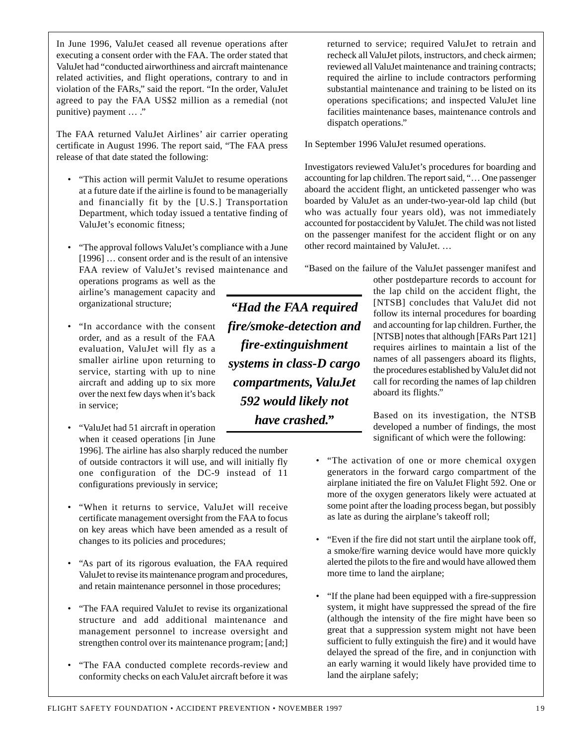In June 1996, ValuJet ceased all revenue operations after executing a consent order with the FAA. The order stated that ValuJet had "conducted airworthiness and aircraft maintenance related activities, and flight operations, contrary to and in violation of the FARs," said the report. "In the order, ValuJet agreed to pay the FAA US\$2 million as a remedial (not punitive) payment … ."

The FAA returned ValuJet Airlines' air carrier operating certificate in August 1996. The report said, "The FAA press release of that date stated the following:

- "This action will permit ValuJet to resume operations at a future date if the airline is found to be managerially and financially fit by the [U.S.] Transportation Department, which today issued a tentative finding of ValuJet's economic fitness;
- "The approval follows ValuJet's compliance with a June [1996] ... consent order and is the result of an intensive FAA review of ValuJet's revised maintenance and

operations programs as well as the airline's management capacity and organizational structure;

- "In accordance with the consent order, and as a result of the FAA evaluation, ValuJet will fly as a smaller airline upon returning to service, starting with up to nine aircraft and adding up to six more over the next few days when it's back in service;
- "ValuJet had 51 aircraft in operation when it ceased operations [in June

1996]. The airline has also sharply reduced the number of outside contractors it will use, and will initially fly one configuration of the DC-9 instead of 11 configurations previously in service;

- "When it returns to service, ValuJet will receive certificate management oversight from the FAA to focus on key areas which have been amended as a result of changes to its policies and procedures;
- "As part of its rigorous evaluation, the FAA required ValuJet to revise its maintenance program and procedures, and retain maintenance personnel in those procedures;
- "The FAA required ValuJet to revise its organizational structure and add additional maintenance and management personnel to increase oversight and strengthen control over its maintenance program; [and;]
- "The FAA conducted complete records-review and conformity checks on each ValuJet aircraft before it was

*"Had the FAA required fire/smoke-detection and fire-extinguishment systems in class-D cargo compartments, ValuJet 592 would likely not have crashed."*

returned to service; required ValuJet to retrain and recheck all ValuJet pilots, instructors, and check airmen; reviewed all ValuJet maintenance and training contracts; required the airline to include contractors performing substantial maintenance and training to be listed on its operations specifications; and inspected ValuJet line facilities maintenance bases, maintenance controls and dispatch operations."

In September 1996 ValuJet resumed operations.

Investigators reviewed ValuJet's procedures for boarding and accounting for lap children. The report said, "… One passenger aboard the accident flight, an unticketed passenger who was boarded by ValuJet as an under-two-year-old lap child (but who was actually four years old), was not immediately accounted for postaccident by ValuJet. The child was not listed on the passenger manifest for the accident flight or on any other record maintained by ValuJet. …

"Based on the failure of the ValuJet passenger manifest and

other postdeparture records to account for the lap child on the accident flight, the [NTSB] concludes that ValuJet did not follow its internal procedures for boarding and accounting for lap children. Further, the [NTSB] notes that although [FARs Part 121] requires airlines to maintain a list of the names of all passengers aboard its flights, the procedures established by ValuJet did not call for recording the names of lap children aboard its flights."

Based on its investigation, the NTSB developed a number of findings, the most significant of which were the following:

- "The activation of one or more chemical oxygen generators in the forward cargo compartment of the airplane initiated the fire on ValuJet Flight 592. One or more of the oxygen generators likely were actuated at some point after the loading process began, but possibly as late as during the airplane's takeoff roll;
- "Even if the fire did not start until the airplane took off, a smoke/fire warning device would have more quickly alerted the pilots to the fire and would have allowed them more time to land the airplane;
- "If the plane had been equipped with a fire-suppression system, it might have suppressed the spread of the fire (although the intensity of the fire might have been so great that a suppression system might not have been sufficient to fully extinguish the fire) and it would have delayed the spread of the fire, and in conjunction with an early warning it would likely have provided time to land the airplane safely;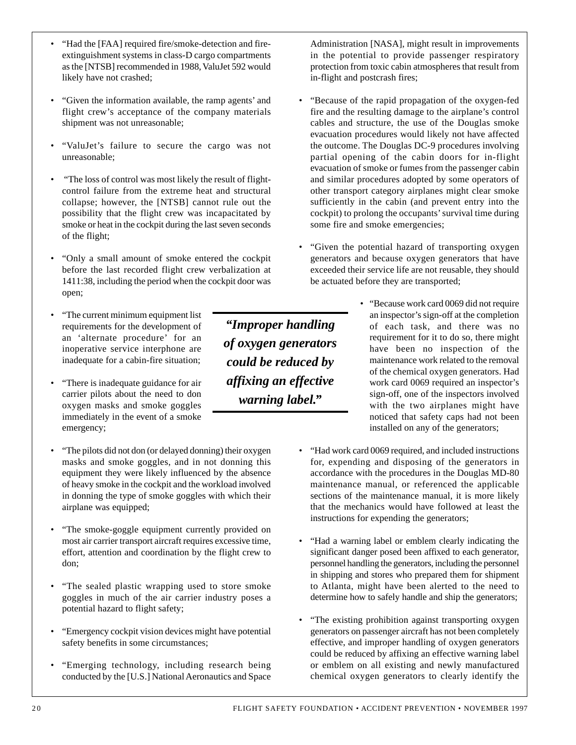- "Given the information available, the ramp agents' and flight crew's acceptance of the company materials shipment was not unreasonable;
- "ValuJet's failure to secure the cargo was not unreasonable;
- "The loss of control was most likely the result of flightcontrol failure from the extreme heat and structural collapse; however, the [NTSB] cannot rule out the possibility that the flight crew was incapacitated by smoke or heat in the cockpit during the last seven seconds of the flight;
- "Only a small amount of smoke entered the cockpit before the last recorded flight crew verbalization at 1411:38, including the period when the cockpit door was open;
- "The current minimum equipment list requirements for the development of an 'alternate procedure' for an inoperative service interphone are inadequate for a cabin-fire situation;
- "There is inadequate guidance for air carrier pilots about the need to don oxygen masks and smoke goggles immediately in the event of a smoke emergency;
- "The pilots did not don (or delayed donning) their oxygen masks and smoke goggles, and in not donning this equipment they were likely influenced by the absence of heavy smoke in the cockpit and the workload involved in donning the type of smoke goggles with which their airplane was equipped;
- "The smoke-goggle equipment currently provided on most air carrier transport aircraft requires excessive time, effort, attention and coordination by the flight crew to don;
- "The sealed plastic wrapping used to store smoke goggles in much of the air carrier industry poses a potential hazard to flight safety;
- "Emergency cockpit vision devices might have potential safety benefits in some circumstances;
- "Emerging technology, including research being conducted by the [U.S.] National Aeronautics and Space

*"Improper handling of oxygen generators could be reduced by affixing an effective warning label."*

Administration [NASA], might result in improvements in the potential to provide passenger respiratory protection from toxic cabin atmospheres that result from in-flight and postcrash fires;

- "Because of the rapid propagation of the oxygen-fed fire and the resulting damage to the airplane's control cables and structure, the use of the Douglas smoke evacuation procedures would likely not have affected the outcome. The Douglas DC-9 procedures involving partial opening of the cabin doors for in-flight evacuation of smoke or fumes from the passenger cabin and similar procedures adopted by some operators of other transport category airplanes might clear smoke sufficiently in the cabin (and prevent entry into the cockpit) to prolong the occupants' survival time during some fire and smoke emergencies;
- "Given the potential hazard of transporting oxygen generators and because oxygen generators that have exceeded their service life are not reusable, they should be actuated before they are transported;
	- "Because work card 0069 did not require an inspector's sign-off at the completion of each task, and there was no requirement for it to do so, there might have been no inspection of the maintenance work related to the removal of the chemical oxygen generators. Had work card 0069 required an inspector's sign-off, one of the inspectors involved with the two airplanes might have noticed that safety caps had not been installed on any of the generators;
- "Had work card 0069 required, and included instructions for, expending and disposing of the generators in accordance with the procedures in the Douglas MD-80 maintenance manual, or referenced the applicable sections of the maintenance manual, it is more likely that the mechanics would have followed at least the instructions for expending the generators;
- "Had a warning label or emblem clearly indicating the significant danger posed been affixed to each generator, personnel handling the generators, including the personnel in shipping and stores who prepared them for shipment to Atlanta, might have been alerted to the need to determine how to safely handle and ship the generators;
- "The existing prohibition against transporting oxygen generators on passenger aircraft has not been completely effective, and improper handling of oxygen generators could be reduced by affixing an effective warning label or emblem on all existing and newly manufactured chemical oxygen generators to clearly identify the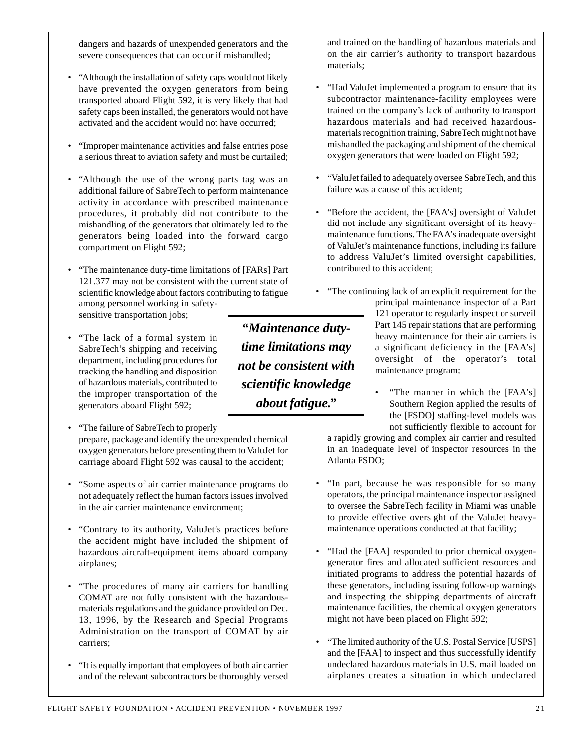dangers and hazards of unexpended generators and the severe consequences that can occur if mishandled;

- "Although the installation of safety caps would not likely have prevented the oxygen generators from being transported aboard Flight 592, it is very likely that had safety caps been installed, the generators would not have activated and the accident would not have occurred;
- "Improper maintenance activities and false entries pose a serious threat to aviation safety and must be curtailed;
- "Although the use of the wrong parts tag was an additional failure of SabreTech to perform maintenance activity in accordance with prescribed maintenance procedures, it probably did not contribute to the mishandling of the generators that ultimately led to the generators being loaded into the forward cargo compartment on Flight 592;
- "The maintenance duty-time limitations of [FARs] Part 121.377 may not be consistent with the current state of scientific knowledge about factors contributing to fatigue among personnel working in safetysensitive transportation jobs;
- "The lack of a formal system in SabreTech's shipping and receiving department, including procedures for tracking the handling and disposition of hazardous materials, contributed to the improper transportation of the generators aboard Flight 592;
- "The failure of SabreTech to properly prepare, package and identify the unexpended chemical oxygen generators before presenting them to ValuJet for carriage aboard Flight 592 was causal to the accident;
- "Some aspects of air carrier maintenance programs do not adequately reflect the human factors issues involved in the air carrier maintenance environment;
- "Contrary to its authority, ValuJet's practices before the accident might have included the shipment of hazardous aircraft-equipment items aboard company airplanes;
- "The procedures of many air carriers for handling COMAT are not fully consistent with the hazardousmaterials regulations and the guidance provided on Dec. 13, 1996, by the Research and Special Programs Administration on the transport of COMAT by air carriers;
- "It is equally important that employees of both air carrier and of the relevant subcontractors be thoroughly versed

and trained on the handling of hazardous materials and on the air carrier's authority to transport hazardous materials;

- "Had ValuJet implemented a program to ensure that its subcontractor maintenance-facility employees were trained on the company's lack of authority to transport hazardous materials and had received hazardousmaterials recognition training, SabreTech might not have mishandled the packaging and shipment of the chemical oxygen generators that were loaded on Flight 592;
- "ValuJet failed to adequately oversee SabreTech, and this failure was a cause of this accident;
- "Before the accident, the [FAA's] oversight of ValuJet did not include any significant oversight of its heavymaintenance functions. The FAA's inadequate oversight of ValuJet's maintenance functions, including its failure to address ValuJet's limited oversight capabilities, contributed to this accident;
	- "The continuing lack of an explicit requirement for the principal maintenance inspector of a Part 121 operator to regularly inspect or surveil Part 145 repair stations that are performing heavy maintenance for their air carriers is a significant deficiency in the [FAA's] oversight of the operator's total maintenance program;
		- "The manner in which the [FAA's] Southern Region applied the results of the [FSDO] staffing-level models was not sufficiently flexible to account for

a rapidly growing and complex air carrier and resulted in an inadequate level of inspector resources in the Atlanta FSDO;

- "In part, because he was responsible for so many operators, the principal maintenance inspector assigned to oversee the SabreTech facility in Miami was unable to provide effective oversight of the ValuJet heavymaintenance operations conducted at that facility;
- "Had the [FAA] responded to prior chemical oxygengenerator fires and allocated sufficient resources and initiated programs to address the potential hazards of these generators, including issuing follow-up warnings and inspecting the shipping departments of aircraft maintenance facilities, the chemical oxygen generators might not have been placed on Flight 592;
- "The limited authority of the U.S. Postal Service [USPS] and the [FAA] to inspect and thus successfully identify undeclared hazardous materials in U.S. mail loaded on airplanes creates a situation in which undeclared

FLIGHT SAFETY FOUNDATION • ACCIDENT PREVENTION • NOVEMBER 1997 21

*"Maintenance dutytime limitations may not be consistent with scientific knowledge about fatigue."*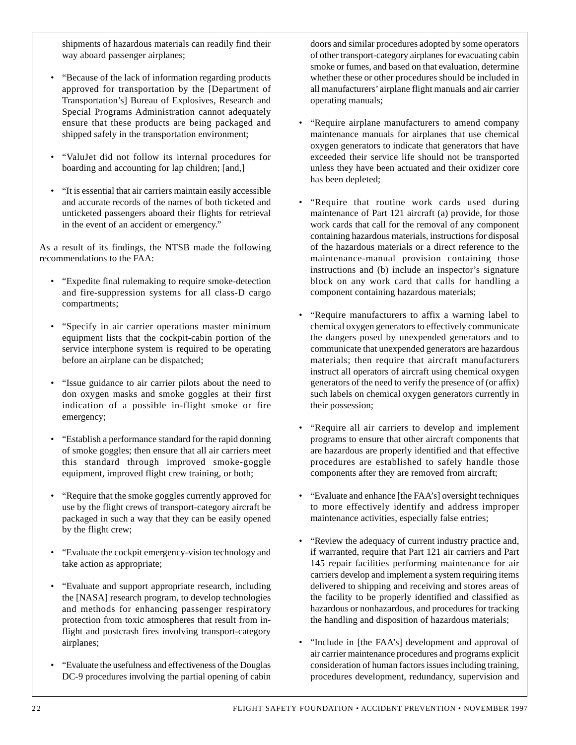shipments of hazardous materials can readily find their way aboard passenger airplanes;

- "Because of the lack of information regarding products approved for transportation by the [Department of Transportation's] Bureau of Explosives, Research and Special Programs Administration cannot adequately ensure that these products are being packaged and shipped safely in the transportation environment;
- "ValuJet did not follow its internal procedures for boarding and accounting for lap children; [and,]
- "It is essential that air carriers maintain easily accessible and accurate records of the names of both ticketed and unticketed passengers aboard their flights for retrieval in the event of an accident or emergency."

As a result of its findings, the NTSB made the following recommendations to the FAA:

- "Expedite final rulemaking to require smoke-detection and fire-suppression systems for all class-D cargo compartments;
- "Specify in air carrier operations master minimum equipment lists that the cockpit-cabin portion of the service interphone system is required to be operating before an airplane can be dispatched;
- "Issue guidance to air carrier pilots about the need to don oxygen masks and smoke goggles at their first indication of a possible in-flight smoke or fire emergency;
- "Establish a performance standard for the rapid donning of smoke goggles; then ensure that all air carriers meet this standard through improved smoke-goggle equipment, improved flight crew training, or both;
- "Require that the smoke goggles currently approved for use by the flight crews of transport-category aircraft be packaged in such a way that they can be easily opened by the flight crew;
- "Evaluate the cockpit emergency-vision technology and take action as appropriate;
- "Evaluate and support appropriate research, including the [NASA] research program, to develop technologies and methods for enhancing passenger respiratory protection from toxic atmospheres that result from inflight and postcrash fires involving transport-category airplanes;
- "Evaluate the usefulness and effectiveness of the Douglas DC-9 procedures involving the partial opening of cabin

doors and similar procedures adopted by some operators of other transport-category airplanes for evacuating cabin smoke or fumes, and based on that evaluation, determine whether these or other procedures should be included in all manufacturers' airplane flight manuals and air carrier operating manuals;

- "Require airplane manufacturers to amend company maintenance manuals for airplanes that use chemical oxygen generators to indicate that generators that have exceeded their service life should not be transported unless they have been actuated and their oxidizer core has been depleted;
- "Require that routine work cards used during maintenance of Part 121 aircraft (a) provide, for those work cards that call for the removal of any component containing hazardous materials, instructions for disposal of the hazardous materials or a direct reference to the maintenance-manual provision containing those instructions and (b) include an inspector's signature block on any work card that calls for handling a component containing hazardous materials;
- "Require manufacturers to affix a warning label to chemical oxygen generators to effectively communicate the dangers posed by unexpended generators and to communicate that unexpended generators are hazardous materials; then require that aircraft manufacturers instruct all operators of aircraft using chemical oxygen generators of the need to verify the presence of (or affix) such labels on chemical oxygen generators currently in their possession;
- "Require all air carriers to develop and implement programs to ensure that other aircraft components that are hazardous are properly identified and that effective procedures are established to safely handle those components after they are removed from aircraft;
- "Evaluate and enhance [the FAA's] oversight techniques to more effectively identify and address improper maintenance activities, especially false entries;
- "Review the adequacy of current industry practice and, if warranted, require that Part 121 air carriers and Part 145 repair facilities performing maintenance for air carriers develop and implement a system requiring items delivered to shipping and receiving and stores areas of the facility to be properly identified and classified as hazardous or nonhazardous, and procedures for tracking the handling and disposition of hazardous materials;
- "Include in [the FAA's] development and approval of air carrier maintenance procedures and programs explicit consideration of human factors issues including training, procedures development, redundancy, supervision and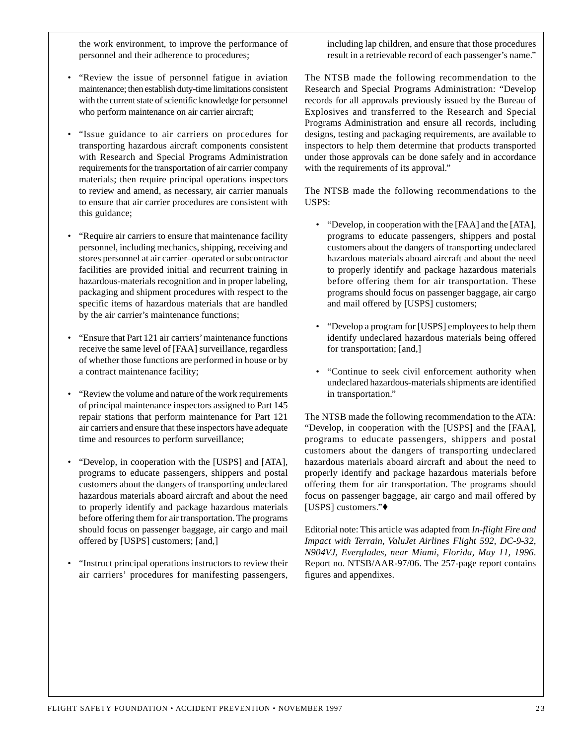the work environment, to improve the performance of personnel and their adherence to procedures;

- "Review the issue of personnel fatigue in aviation maintenance; then establish duty-time limitations consistent with the current state of scientific knowledge for personnel who perform maintenance on air carrier aircraft;
- "Issue guidance to air carriers on procedures for transporting hazardous aircraft components consistent with Research and Special Programs Administration requirements for the transportation of air carrier company materials; then require principal operations inspectors to review and amend, as necessary, air carrier manuals to ensure that air carrier procedures are consistent with this guidance;
- "Require air carriers to ensure that maintenance facility personnel, including mechanics, shipping, receiving and stores personnel at air carrier–operated or subcontractor facilities are provided initial and recurrent training in hazardous-materials recognition and in proper labeling, packaging and shipment procedures with respect to the specific items of hazardous materials that are handled by the air carrier's maintenance functions;
- "Ensure that Part 121 air carriers' maintenance functions receive the same level of [FAA] surveillance, regardless of whether those functions are performed in house or by a contract maintenance facility;
- "Review the volume and nature of the work requirements of principal maintenance inspectors assigned to Part 145 repair stations that perform maintenance for Part 121 air carriers and ensure that these inspectors have adequate time and resources to perform surveillance;
- "Develop, in cooperation with the [USPS] and [ATA], programs to educate passengers, shippers and postal customers about the dangers of transporting undeclared hazardous materials aboard aircraft and about the need to properly identify and package hazardous materials before offering them for air transportation. The programs should focus on passenger baggage, air cargo and mail offered by [USPS] customers; [and,]
- "Instruct principal operations instructors to review their air carriers' procedures for manifesting passengers,

including lap children, and ensure that those procedures result in a retrievable record of each passenger's name."

The NTSB made the following recommendation to the Research and Special Programs Administration: "Develop records for all approvals previously issued by the Bureau of Explosives and transferred to the Research and Special Programs Administration and ensure all records, including designs, testing and packaging requirements, are available to inspectors to help them determine that products transported under those approvals can be done safely and in accordance with the requirements of its approval."

The NTSB made the following recommendations to the USPS:

- "Develop, in cooperation with the [FAA] and the [ATA], programs to educate passengers, shippers and postal customers about the dangers of transporting undeclared hazardous materials aboard aircraft and about the need to properly identify and package hazardous materials before offering them for air transportation. These programs should focus on passenger baggage, air cargo and mail offered by [USPS] customers;
- "Develop a program for [USPS] employees to help them identify undeclared hazardous materials being offered for transportation; [and,]
- "Continue to seek civil enforcement authority when undeclared hazardous-materials shipments are identified in transportation."

The NTSB made the following recommendation to the ATA: "Develop, in cooperation with the [USPS] and the [FAA], programs to educate passengers, shippers and postal customers about the dangers of transporting undeclared hazardous materials aboard aircraft and about the need to properly identify and package hazardous materials before offering them for air transportation. The programs should focus on passenger baggage, air cargo and mail offered by [USPS] customers."♦

Editorial note: This article was adapted from *In-flight Fire and Impact with Terrain, ValuJet Airlines Flight 592, DC-9-32, N904VJ, Everglades, near Miami, Florida, May 11, 1996*. Report no. NTSB/AAR-97/06. The 257-page report contains figures and appendixes.